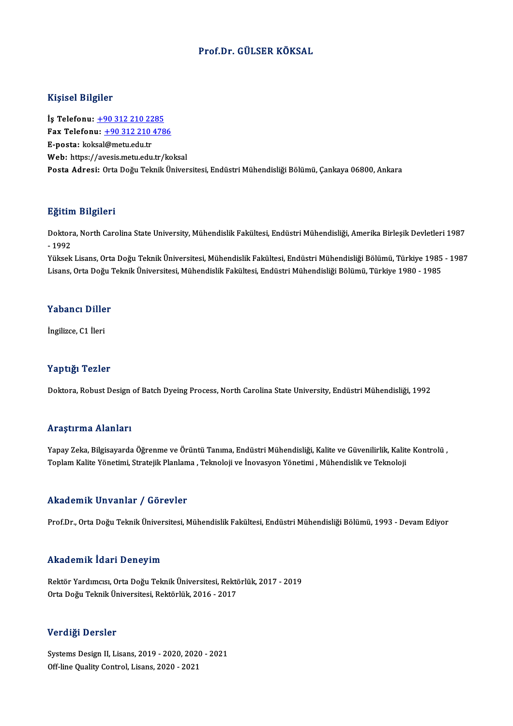## Prof.Dr. GÜLSER KÖKSAL

#### Kişisel Bilgiler

Kişisel Bilgiler<br>İş Telefonu: <u>+90 312 210 2285</u><br>Fax Telefonu: +90 212 210 478 Fax Telefonu:  $\frac{+90\,312\,210\,4786}{E\text{-} \text{posta}: \text{koksal@metu.edu.tr}}$ İş Telefonu: <u>+90 312 210 22</u><br>Fax Telefonu: <u>+90 312 210<br>E-posta: kok[sal](tel:+90 312 210 2285)[@metu.edu.tr](tel:+90 312 210 4786)</u><br>Web: https://avesis.metu.edu.tr Web: https://avesis.metu.edu.tr/koksal Posta Adresi: Orta Doğu Teknik Üniversitesi, Endüstri Mühendisliği Bölümü, Çankaya 06800, Ankara

#### Eğitim Bilgileri

**Eğitim Bilgileri**<br>Doktora, North Carolina State University, Mühendislik Fakültesi, Endüstri Mühendisliği, Amerika Birleşik Devletleri 1987<br>1993 -<br>Doktor<br>- 1992<br><sup>Vülsels</sup> Doktora, North Carolina State University, Mühendislik Fakültesi, Endüstri Mühendisliği, Amerika Birleşik Devletleri 1987<br>- 1992<br>Yüksek Lisans, Orta Doğu Teknik Üniversitesi, Mühendislik Fakültesi, Endüstri Mühendisliği Böl

- 1992<br>Yüksek Lisans, Orta Doğu Teknik Üniversitesi, Mühendislik Fakültesi, Endüstri Mühendisliği Bölümü, Türkiye 1985<br>Lisans, Orta Doğu Teknik Üniversitesi, Mühendislik Fakültesi, Endüstri Mühendisliği Bölümü, Türkiye 198 Lisans, Orta Doğu Teknik Üniversitesi, Mühendislik Fakültesi, Endüstri Mühendisliği Bölümü, Türkiye 1980 - 1985<br>Yabancı Diller

İngilizce, C1 İleri

#### Yaptığı Tezler

Doktora, Robust Design of Batch Dyeing Process, North Carolina State University, Endüstri Mühendisliği, 1992

#### Araştırma Alanları

Yapay Zeka, Bilgisayarda Öğrenme ve Örüntü Tanıma, Endüstri Mühendisliği, Kalite ve Güvenilirlik, Kalite Kontrolü , Toplam Kalite Yönetimi, Stratejik Planlama , Teknoloji ve İnovasyon Yönetimi , Mühendislik ve Teknoloji

#### Akademik Unvanlar / Görevler

Prof.Dr., Orta Doğu Teknik Üniversitesi, Mühendislik Fakültesi, Endüstri Mühendisliği Bölümü, 1993 - Devam Ediyor

#### Akademik İdari Deneyim

Akademik İdari Deneyim<br>Rektör Yardımcısı, Orta Doğu Teknik Üniversitesi, Rektörlük, 2017 - 2019<br>Orta Doğu Telmik Üniversitesi, Rektörlük, 2016 - 2017 ostadoğunu Tear Poncy III<br>Rektör Yardımcısı, Orta Doğu Teknik Üniversitesi, Rektö<br>Orta Doğu Teknik Üniversitesi, Rektörlük, 2016 - 2017 Orta Doğu Teknik Üniversitesi, Rektörlük, 2016 - 2017<br>Verdiği Dersler

Verdiği Dersler<br>Systems Design II, Lisans, 2019 - 2020, 2020 - 2021<br>Off line Quality Control Lisans, 2020, 2021 of ererge Derbier<br>Systems Design II, Lisans, 2019 - 2020, 2020<br>Off-line Quality Control, Lisans, 2020 - 2021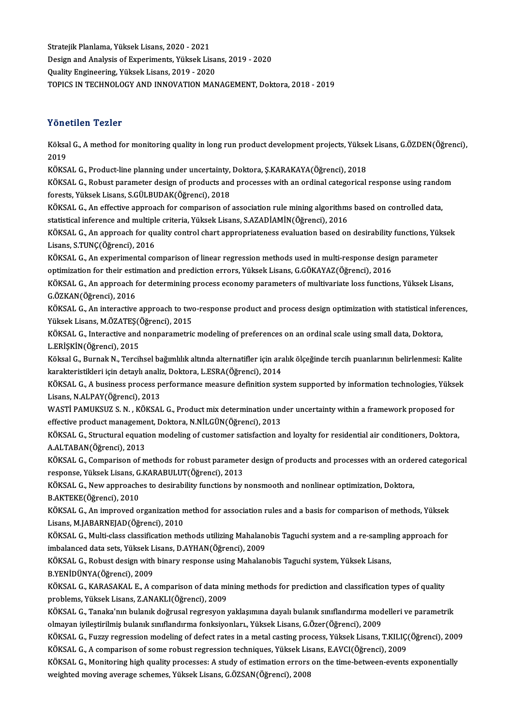Stratejik Planlama, Yüksek Lisans, 2020 - 2021 Stratejik Planlama, Yüksek Lisans, 2020 - 2021<br>Design and Analysis of Experiments, Yüksek Lisans, 2019 - 2020<br>Quality Engineering, Vülgek Lisans, 2010 - 2020 Stratejik Planlama, Yüksek Lisans, 2020 - 2021<br>Design and Analysis of Experiments, Yüksek Lisa<br>Quality Engineering, Yüksek Lisans, 2019 - 2020<br>TOBICS IN TECHNOLOCY AND INNOVATION MAN Quality Engineering, Yüksek Lisans, 2019 - 2020<br>TOPICS IN TECHNOLOGY AND INNOVATION MANAGEMENT, Doktora, 2018 - 2019

### Yönetilen Tezler

Yönetilen Tezler<br>Köksal G., A method for monitoring quality in long run product development projects, Yüksek Lisans, G.ÖZDEN(Öğrenci),<br>2019 r one<br>Köksa<br>2019<br><sup>VÖVS</sup> Köksal G., A method for monitoring quality in long run product development projects, Yükse<br>2019<br>KÖKSAL G., Product-line planning under uncertainty, Doktora, Ş.KARAKAYA(Öğrenci), 2018<br>KÖKSAL G., Poshust parameter design of

2019<br>KÖKSAL G., Product-line planning under uncertainty, Doktora, Ş.KARAKAYA(Öğrenci), 2018<br>KÖKSAL G., Robust parameter design of products and processes with an ordinal categorical response using random<br>forests Vültsek Lis KÖKSAL G., Product-line planning under uncertainty,<br>KÖKSAL G., Robust parameter design of products and<br>forests, Yüksek Lisans, S.GÜLBUDAK(Öğrenci), 2018<br>KÖKSAL G. An effective annreach for comporison of KÖKSAL G., Robust parameter design of products and processes with an ordinal categorical response using rando<br>forests, Yüksek Lisans, S.GÜLBUDAK(Öğrenci), 2018<br>KÖKSAL G., An effective approach for comparison of association

forests, Yüksek Lisans, S.GÜLBUDAK(Öğrenci), 2018<br>KÖKSAL G., An effective approach for comparison of association rule mining algorithm:<br>statistical inference and multiple criteria, Yüksek Lisans, S.AZADİAMİN(Öğrenci), 2016

KÖKSAL G., An effective approach for comparison of association rule mining algorithms based on controlled data,<br>statistical inference and multiple criteria, Yüksek Lisans, S.AZADİAMİN(Öğrenci), 2016<br>KÖKSAL G., An approach statistical inference and multiple<br>KÖKSAL G., An approach for qu<br>Lisans, S.TUNÇ(Öğrenci), 2016<br>KÖKSAL G. An aunorimental 30 KÖKSAL G., An approach for quality control chart appropriateness evaluation based on desirability functions, Yü<br>Lisans, S.TUNÇ(Öğrenci), 2016<br>KÖKSAL G., An experimental comparison of linear regression methods used in multi

Lisans, S.TUNÇ(Öğrenci), 2016<br>KÖKSAL G., An experimental comparison of linear regression methods used in multi-response desig<br>optimization for their estimation and prediction errors, Yüksek Lisans, G.GÖKAYAZ(Öğrenci), 2016 KÖKSAL G., An experimental comparison of linear regression methods used in multi-response design parameter<br>optimization for their estimation and prediction errors, Yüksek Lisans, G.GÖKAYAZ(Öğrenci), 2016<br>KÖKSAL G., An appr

optimization for their estimation and prediction errors, Yüksek Lisans, G.GÖKAYAZ(Öğrenci), 2016<br>KÖKSAL G., An approach for determining process economy parameters of multivariate loss functions, Yüksek Lisans,<br>G.ÖZKAN(Öğre KÖKSAL G., An approach for determining process economy parameters of multivariate loss functions, Yüksek Lisans,<br>G.ÖZKAN(Öğrenci), 2016<br>KÖKSAL G., An interactive approach to two-response product and process design optimiza

G.ÖZKAN(Öğrenci), 2016<br>KÖKSAL G., An interactive approach to two<br>Yüksek Lisans, M.ÖZATEŞ(Öğrenci), 2015<br>KÖKSAL G. Interactive and nonparametric KÖKSAL G., An interactive approach to two-response product and process design optimization with statistical infer<br>Yüksek Lisans, M.ÖZATEŞ(Öğrenci), 2015<br>KÖKSAL G., Interactive and nonparametric modeling of preferences on a

Yüksek Lisans, M.ÖZATEŞ()<br>KÖKSAL G., Interactive and<br>L.ERİŞKİN(Öğrenci), 2015<br>Köksal C., Burnak N., Torsik KÖKSAL G., Interactive and nonparametric modeling of preferences on an ordinal scale using small data, Doktora,<br>L.ERİŞKİN(Öğrenci), 2015<br>Köksal G., Burnak N., Tercihsel bağımlılık altında alternatifler için aralık ölçeğind

L.ERİŞKİN(Öğrenci), 2015<br>Köksal G., Burnak N., Tercihsel bağımlılık altında alternatifler için ara<br>karakteristikleri için detaylı analiz, Doktora, L.ESRA(Öğrenci), 2014<br>KÖKSAL G. A business presess perfermanse measure defi Köksal G., Burnak N., Tercihsel bağımlılık altında alternatifler için aralık ölçeğinde tercih puanlarının belirlenmesi: Kalite<br>karakteristikleri için detaylı analiz, Doktora, L.ESRA(Öğrenci), 2014<br>KÖKSAL G., A business pro

karakteristikleri için detaylı analiz, Doktora, L.ESRA(Öğrenci), 2014<br>KÖKSAL G., A business process performance measure definition system supported by information technologies, Yüksek<br>Lisans, N.ALPAY(Öğrenci), 2013 KÖKSAL G., A business process performance measure definition system supported by information technologies, Yükse<br>Lisans, N.ALPAY(Öğrenci), 2013<br>WASTİ PAMUKSUZ S. N. , KÖKSAL G., Product mix determination under uncertainty

Lisans, N.ALPAY(Öğrenci), 2013<br>WASTİ PAMUKSUZ S. N. , KÖKSAL G., Product mix determination uno<br>effective product management, Doktora, N.NİLGÜN(Öğrenci), 2013<br>KÖKSAL G. Structural equation modeling of quatamor estisfection WASTİ PAMUKSUZ S. N. , KÖKSAL G., Product mix determination under uncertainty within a framework proposed for<br>effective product management, Doktora, N.NİLGÜN(Öğrenci), 2013<br>KÖKSAL G., Structural equation modeling of custom

effective product management, Doktora, N.NİLGÜN(Öğrenci), 2013<br>KÖKSAL G., Structural equation modeling of customer satisfaction and loyalty for residential air conditioners, Doktora,<br>A.ALTABAN(Öğrenci), 2013 KÖKSAL G., Structural equation modeling of customer satisfaction and loyalty for residential air conditioners, Doktora,<br>A.ALTABAN(Öğrenci), 2013<br>KÖKSAL G., Comparison of methods for robust parameter design of products and

A.ALTABAN(Öğrenci), 2013<br>KÖKSAL G., Comparison of methods for robust paramete<br>response, Yüksek Lisans, G.KARABULUT(Öğrenci), 2013<br>KÖKSAL G. Navyannreashes ta desimbility functions by ı KÖKSAL G., Comparison of methods for robust parameter design of products and processes with an orde<br>response, Yüksek Lisans, G.KARABULUT(Öğrenci), 2013<br>KÖKSAL G., New approaches to desirability functions by nonsmooth and n

response, Yüksek Lisans, G.KARABULUT(Öğrenci), 2013<br>KÖKSAL G., New approaches to desirability functions by nonsmooth and nonlinear optimization, Doktora,<br>B.AKTEKE(Öğrenci), 2010

KÖKSAL G., New approaches to desirability functions by nonsmooth and nonlinear optimization, Doktora,<br>B.AKTEKE(Öğrenci), 2010<br>KÖKSAL G., An improved organization method for association rules and a basis for comparison of m Lisans, M.JABARNEJAD(Öğrenci), 2010 KÖKSAL G., An improved organization method for association rules and a basis for comparison of methods, Yüksek<br>Lisans, M.JABARNEJAD(Öğrenci), 2010<br>KÖKSAL G., Multi-class classification methods utilizing Mahalanobis Taguchi

Lisans, M.JABARNEJAD(Öğrenci), 2010<br>KÖKSAL G., Multi-class classification methods utilizing Mahaland<br>imbalanced data sets, Yüksek Lisans, D.AYHAN(Öğrenci), 2009<br>KÖKSAL G. Pohust dasirn uith binany response using Mahalan KÖKSAL G., Multi-class classification methods utilizing Mahalanobis Taguchi system and a re-sampli<br>imbalanced data sets, Yüksek Lisans, D.AYHAN(Öğrenci), 2009<br>KÖKSAL G., Robust design with binary response using Mahalanobis

imbalanced data sets, Yüksek Lisans, D.AYHAN(Öğrenci), 2009<br>KÖKSAL G., Robust design with binary response using Mahalanobis Taguchi system, Yüksek Lisans,<br>B.YENİDÜNYA(Öğrenci), 2009

KÖKSAL G., Robust design with binary response using Mahalanobis Taguchi system, Yüksek Lisans,<br>B.YENİDÜNYA(Öğrenci), 2009<br>KÖKSAL G., KARASAKAL E., A comparison of data mining methods for prediction and classification types B.YENİDÜNYA(Öğrenci), 2009<br>KÖKSAL G., KARASAKAL E., A comparison of data mi<br>problems, Yüksek Lisans, Z.ANAKLI(Öğrenci), 2009<br>KÖKSAL G. Tanaka'nın bulanık doğmusal restrevion ı KÖKSAL G., KARASAKAL E., A comparison of data mining methods for prediction and classification types of quality<br>problems, Yüksek Lisans, Z.ANAKLI(Öğrenci), 2009<br>KÖKSAL G., Tanaka'nın bulanık doğrusal regresyon yaklaşımına

problems, Yüksek Lisans, Z.ANAKLI(Öğrenci), 2009<br>KÖKSAL G., Tanaka'nın bulanık doğrusal regresyon yaklaşımına dayalı bulanık sınıflandırma modelleri ve parametrik<br>olmayan iyileştirilmiş bulanık sınıflandırma fonksiyonları. KÖKSAL G., Tanaka'nın bulanık doğrusal regresyon yaklaşımına dayalı bulanık sınıflandırma modelleri ve parametrik<br>olmayan iyileştirilmiş bulanık sınıflandırma fonksiyonları., Yüksek Lisans, G.Özer(Öğrenci), 2009<br>KÖKSAL G.,

olmayan iyileştirilmiş bulanık sınıflandırma fonksiyonları., Yüksek Lisans, G.Özer(Öğrenci), 2009<br>KÖKSAL G., Fuzzy regression modeling of defect rates in a metal casting process, Yüksek Lisans, T.KILIÇ(<br>KÖKSAL G., A compar KÖKSAL G., Fuzzy regression modeling of defect rates in a metal casting process, Yüksek Lisans, T.KILIÇ(Öğrenci), 2009<br>KÖKSAL G., A comparison of some robust regression techniques, Yüksek Lisans, E.AVCI(Öğrenci), 2009<br>KÖKS

KÖKSAL G., A comparison of some robust regression techniques, Yüksek Lisans, E.AVCI(Öğrenci), 2009<br>KÖKSAL G., Monitoring high quality processes: A study of estimation errors on the time-between-events exponentially<br>weighte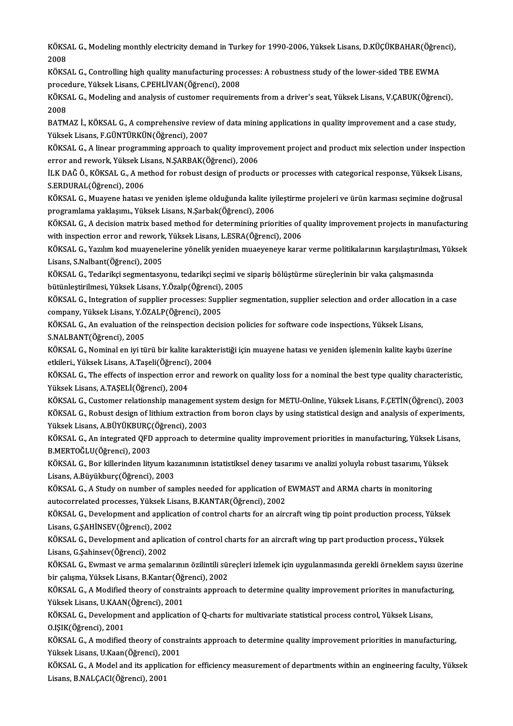KÖKSAL G., Modeling monthly electricity demand in Turkey for 1990-2006, Yüksek Lisans, D.KÜÇÜKBAHAR(Öğrenci),<br>2008 KÖKS<br>2008<br><sup>VÖVS</sup> KÖKSAL G., Modeling monthly electricity demand in Turkey for 1990-2006, Yüksek Lisans, D.KÜÇÜKBAHAR(Öğrei<br>2008<br>KÖKSAL G., Controlling high quality manufacturing processes: A robustness study of the lower-sided TBE EWMA<br>Pro

2008<br>KÖKSAL G., Controlling high quality manufacturing proce<br>procedure, Yüksek Lisans, C.PEHLİVAN(Öğrenci), 2008<br>KÖKSAL G. Modeling and analysis of gustamer nasujuan KÖKSAL G., Controlling high quality manufacturing processes: A robustness study of the lower-sided TBE EWMA<br>procedure, Yüksek Lisans, C.PEHLİVAN(Öğrenci), 2008<br>KÖKSAL G., Modeling and analysis of customer requirements from

proce<br>KÖKS<br>2008<br>PATM KÖKSAL G., Modeling and analysis of customer requirements from a driver's seat, Yüksek Lisans, V.ÇABUK(Öğrenci),<br>2008<br>BATMAZ İ., KÖKSAL G., A comprehensive review of data mining applications in quality improvement and a ca

2008<br>BATMAZ İ., KÖKSAL G., A comprehensive review of data mining applications in quality improvement and a case study,<br>Yüksek Lisans, F.GÜNTÜRKÜN(Öğrenci), 2007

KÖKSAL G., A linear programming approach to quality improvement project and product mix selection under inspection Yüksek Lisans, F.GÜNTÜRKÜN(Öğrenci), 2007<br>KÖKSAL G., A linear programming approach to quality improv<br>error and rework, Yüksek Lisans, N.ŞARBAK(Öğrenci), 2006<br>ILK DAČ Ö. KÖKSAL G. A method far rebust design of produ

İLK DAĞ Ö., KÖKSAL G., A method for robust design of products or processes with categorical response, Yüksek Lisans,<br>S.ERDURAL(Öğrenci), 2006 error and rework, Yüksek Li<br>İLK DAĞ Ö., KÖKSAL G., A me<br>S.ERDURAL(Öğrenci), 2006<br>KÖKSAL G. Musyana batası

KÖKSAL G., Muayene hatası ve yeniden işleme olduğunda kalite iyileştirme projeleri ve ürün karması seçimine doğrusal programlama yaklaşımı.,YüksekLisans,N.Şarbak(Öğrenci),2006 KÖKSAL G., Muayene hatası ve yeniden işleme olduğunda kalite iyileştirme projeleri ve ürün karması seçimine doğrusal<br>programlama yaklaşımı., Yüksek Lisans, N.Şarbak(Öğrenci), 2006<br>KÖKSAL G., A decision matrix based method

programlama yaklaşımı., Yüksek Lisans, N.Şarbak(Öğrenci), 2006<br>KÖKSAL G., A decision matrix based method for determining priorities of<br>with inspection error and rework, Yüksek Lisans, L.ESRA(Öğrenci), 2006<br>KÖKSAL G. Varlum KÖKSAL G., A decision matrix based method for determining priorities of quality improvement projects in manufacturing<br>with inspection error and rework, Yüksek Lisans, L.ESRA(Öğrenci), 2006<br>KÖKSAL G., Yazılım kod muayeneler

with inspection error and rework, Yüksek Lisans, L.ESRA(Öğrenci), 2006<br>KÖKSAL G., Yazılım kod muayenelerine yönelik yeniden muaeyeneye kara<br>Lisans, S.Nalbant(Öğrenci), 2005 KÖKSAL G., Yazılım kod muayenelerine yönelik yeniden muaeyeneye karar verme politikalarının karşılaştırılması, Yüksek

Lisans, S.Nalbant(Öğrenci), 2005<br>KÖKSAL G., Tedarikçi segmentasyonu, tedarikçi seçimi ve<br>bütünleştirilmesi, Yüksek Lisans, Y.Özalp(Öğrenci), 2005<br>KÖKSAL G. Integration of sunnlier nrossesses: Sunnlier se KÖKSAL G., Tedarikçi segmentasyonu, tedarikçi seçimi ve sipariş bölüştürme süreçlerinin bir vaka çalışmasında<br>bütünleştirilmesi, Yüksek Lisans, Y.Özalp(Öğrenci), 2005<br>KÖKSAL G., Integration of supplier processes: Supplier

bütünleştirilmesi, Yüksek Lisans, Y.Özalp(Öğrenci), 2005<br>KÖKSAL G., Integration of supplier processes: Supplier segmentation, supplier selection and order allocation in a case<br>company, Yüksek Lisans, Y.ÖZALP(Öğrenci), 2005 KÖKSAL G., Integration of supplier processes: Supplier segmentation, supplier selection and order allocation<br>company, Yüksek Lisans, Y.ÖZALP(Öğrenci), 2005<br>KÖKSAL G., An evaluation of the reinspection decision policies for

Company, Yüksek Lisans, Y.Ö<br>KÖKSAL G., An evaluation of<br>S.NALBANT(Öğrenci), 2005<br>KÖKSAL G. Nominal on iyi tü KÖKSAL G., An evaluation of the reinspection decision policies for software code inspections, Yüksek Lisans,<br>S.NALBANT(Öğrenci), 2005<br>KÖKSAL G., Nominal en iyi türü bir kalite karakteristiği için muayene hatası ve yeniden

S.NALBANT(Öğrenci), 2005<br>KÖKSAL G., Nominal en iyi türü bir kalite karakte<br>etkileri., Yüksek Lisans, A.Taşeli(Öğrenci), 2004<br>KÖKSAL G. The effects of inspection error and r etkileri, Yüksek Lisans, A.Taşeli(Öğrenci), 2004

KÖKSAL G., The effects of inspection error and rework on quality loss for a nominal the best type quality characteristic,<br>Yüksek Lisans, A.TAŞELİ(Öğrenci), 2004 KÖKSAL G., The effects of inspection error and rework on quality loss for a nominal the best type quality characteristic,<br>Yüksek Lisans, A.TAŞELİ(Öğrenci), 2004<br>KÖKSAL G., Customer relationship management system design for

Yüksek Lisans, A.TAŞELİ(Öğrenci), 2004<br>KÖKSAL G., Customer relationship management system design for METU-Online, Yüksek Lisans, F.ÇETİN(Öğrenci), 2003<br>KÖKSAL G., Robust design of lithium extraction from boron clays by usi KÖKSAL G., Customer relationship managemen<br>KÖKSAL G., Robust design of lithium extraction<br>Yüksek Lisans, A.BÜYÜKBURÇ(Öğrenci), 2003<br>KÖKSAL G. An integrated OED annroash ta dat KÖKSAL G., Robust design of lithium extraction from boron clays by using statistical design and analysis of experiments,<br>Yüksek Lisans, A.BÜYÜKBURÇ(Öğrenci), 2003<br>KÖKSAL G., An integrated QFD approach to determine quality

Yüksek Lisans, A.BÜYÜKBURÇ<br>KÖKSAL G., An integrated QFD<br>B.MERTOĞLU(Öğrenci), 2003<br>KÖKSAL G. Ban killerinden liti KÖKSAL G., An integrated QFD approach to determine quality improvement priorities in manufacturing, Yüksek Lisa<br>B.MERTOĞLU(Öğrenci), 2003<br>KÖKSAL G., Bor killerinden lityum kazanımının istatistiksel deney tasarımı ve analiz

KÖKSAL G., Bor killerinden lityum kazanımının istatistiksel deney tasarımı ve analizi yoluyla robust tasarımı, Yüksek<br>Lisans, A.Büyükburç(Öğrenci), 2003 KÖKSAL G., Bor killerinden lityum kazanımının istatistiksel deney tasarımı ve analizi yoluyla robust tasarımı, Yül<br>Lisans, A.Büyükburç(Öğrenci), 2003<br>KÖKSAL G., A Study on number of samples needed for application of EWMAST

Lisans, A.Büyükburç(Öğrenci), 2003<br>KÖKSAL G., A Study on number of samples needed for application of<br>autocorrelated processes, Yüksek Lisans, B.KANTAR(Öğrenci), 2002<br>KÖKSAL G. Develenment and application of sentrel sharts KÖKSAL G., A Study on number of samples needed for application of EWMAST and ARMA charts in monitoring<br>autocorrelated processes, Yüksek Lisans, B.KANTAR(Öğrenci), 2002<br>KÖKSAL G., Development and application of control char

autocorrelated processes, Yüksek Lis<br>KÖKSAL G., Development and applica<br>Lisans, G.ŞAHİNSEV(Öğrenci), 2002<br>KÖKSAL G. Development and aplicat KÖKSAL G., Development and application of control charts for an aircraft wing tip point production process, Yükse<br>Lisans, G.ŞAHİNSEV(Öğrenci), 2002<br>KÖKSAL G., Development and aplication of control charts for an aircraft wi

Lisans, G.ŞAHİNSEV(Öğrenci), 2002<br>KÖKSAL G., Development and aplication of control charts for an aircraft wing tıp part production process., Yüksek<br>Lisans, G.Şahinsev(Öğrenci), 2002 KÖKSAL G., Development and aplication of control charts for an aircraft wing tip part production process., Yüksek<br>Lisans, G.Şahinsev(Öğrenci), 2002<br>KÖKSAL G., Ewmast ve arma şemalarının özilintili süreçleri izlemek için uy

Lisans, G.Şahinsev(Öğrenci), 2002<br>KÖKSAL G., Ewmast ve arma şemalarının özilintili sül<br>bir çalışma, Yüksek Lisans, B.Kantar(Öğrenci), 2002<br>KÖKSAL G. A Modified theory of senstraints annrası KÖKSAL G., Ewmast ve arma şemalarının özilintili süreçleri izlemek için uygulanmasında gerekli örneklem sayısı üzeri<br>bir çalışma, Yüksek Lisans, B.Kantar(Öğrenci), 2002<br>KÖKSAL G., A Modified theory of constraints approach

bir çalışma, Yüksek Lisans, B.Kantar(Öğrenci), 2002<br>KÖKSAL G., A Modified theory of constraints approach to determine quality improvement priorites in manufacturing,<br>Yüksek Lisans, U.KAAN(Öğrenci), 2001 KÖKSAL G., A Modified theory of constraints approach to determine quality improvement priorites in manufact<br>Yüksek Lisans, U.KAAN(Öğrenci), 2001<br>KÖKSAL G., Development and application of Q-charts for multivariate statistic

Yüksek Lisans, U.KAAN<br>KÖKSAL G., Developme<br>O.IŞIK(Öğrenci), 2001<br>VÖKSAL *C. A* modified KÖKSAL G., Development and application of Q-charts for multivariate statistical process control, Yüksek Lisans,<br>O.IŞIK(Öğrenci), 2001<br>KÖKSAL G., A modified theory of constraints approach to determine quality improvement pr

O.IŞIK(Öğrenci), 2001<br>KÖKSAL G., A modified theory of constr<br>Yüksek Lisans, U.Kaan(Öğrenci), 2001<br>KÖKSAL G. A Model and ita annligation KÖKSAL G., A modified theory of constraints approach to determine quality improvement priorities in manufacturing,<br>Yüksek Lisans, U.Kaan(Öğrenci), 2001<br>KÖKSAL G., A Model and its application for efficiency measurement of d

Yüksek Lisans, U.Kaan(Öğrenci), 2<br>KÖKSAL G., A Model and its applica<br>Lisans, B.NALÇACI(Öğrenci), 2001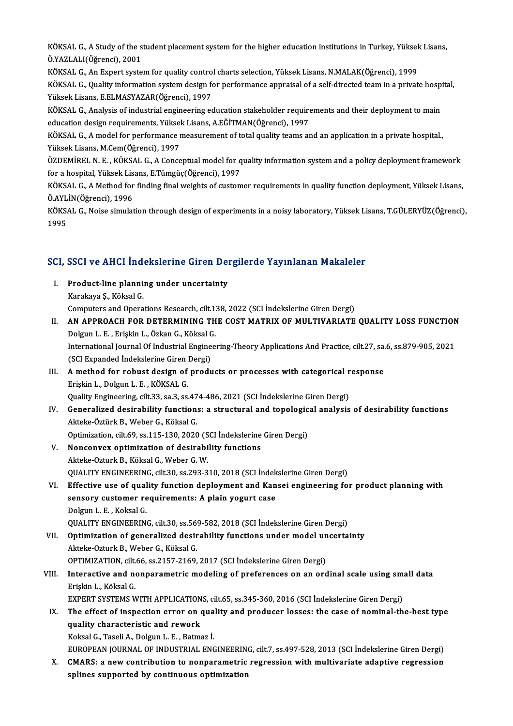KÖKSAL G., A Study of the student placement system for the higher education institutions in Turkey, Yüksek Lisans,<br>Ö.YAZLALI(Öğmensi), 2001 KÖKSAL G., A Study of the s<br>Ö.YAZLALI(Öğrenci), 2001<br>KÖKSAL C. An Eunert suste KÖKSAL G., A Study of the student placement system for the higher education institutions in Turkey, Yüksek<br>Ö.YAZLALI(Öğrenci), 2001<br>KÖKSAL G., An Expert system for quality control charts selection, Yüksek Lisans, N.MALAK(Ö

Ö.YAZLALI(Öğrenci), 2001<br>KÖKSAL G., An Expert system for quality control charts selection, Yüksek Lisans, N.MALAK(Öğrenci), 1999<br>KÖKSAL G., Quality information system design for performance appraisal of a self-directed tea KÖKSAL G., An Expert system for quality contro<br>KÖKSAL G., Quality information system design fo<br>Yüksek Lisans, E.ELMASYAZAR(Öğrenci), 1997<br>KÖKSAL G. Analysis of industrial angineering es KÖKSAL G., Quality information system design for performance appraisal of a self-directed team in a private hosp<br>Yüksek Lisans, E.ELMASYAZAR(Öğrenci), 1997<br>KÖKSAL G., Analysis of industrial engineering education stakeholde Yüksek Lisans, E.ELMASYAZAR(Öğrenci), 1997<br>KÖKSAL G., Analysis of industrial engineering education stakeholder requirements and their deployment to main

education design requirements, Yüksek Lisans, A.EĞİTMAN(Öğrenci), 1997

KÖKSAL G., A model for performance measurement of total quality teams and an application in a private hospital.,<br>Yüksek Lisans, M.Cem(Öğrenci), 1997 KÖKSAL G., A model for performance measurement of total quality teams and an application in a private hospital.,<br>Yüksek Lisans, M.Cem(Öğrenci), 1997<br>ÖZDEMİREL N. E. , KÖKSAL G., A Conceptual model for quality information s

Yüksek Lisans, M.Cem(Öğrenci), 1997<br>ÖZDEMİREL N. E. , KÖKSAL G., A Conceptual model for q<br>for a hospital, Yüksek Lisans, E.Tümgüç(Öğrenci), 1997<br>KÖKSAL G. A Method for finding final weighte of sustem ÖZDEMİREL N. E. , KÖKSAL G., A Conceptual model for quality information system and a policy deployment framework<br>for a hospital, Yüksek Lisans, E.Tümgüç(Öğrenci), 1997<br>KÖKSAL G., A Method for finding final weights of custo

for a hospital, Yüksek Lisans, E.Tümgüç(Öğrenci), 1997<br>KÖKSAL G., A Method for finding final weights of customer requirements in quality function deployment, Yüksek Lisans,<br>Ö.AYLİN(Öğrenci), 1996 KÖKSAL G., A Method for finding final weights of customer requirements in quality function deployment, Yüksek Lisans,<br>Ö.AYLİN(Öğrenci), 1996<br>KÖKSAL G., Noise simulation through design of experiments in a noisy laboratory,

Ö.AYL<br>KÖKS<br>1995

# 1995<br>SCI, SSCI ve AHCI İndekslerine Giren Dergilerde Yayınlanan Makaleler

- CI, SSCI ve AHCI İndekslerine Giren Den<br>I. Product-line planning under uncertainty<br>Karakaya S. Käksal C I. Product-line planning under uncertainty<br>Karakaya Ş., Köksal G. Computers and Operations Research, cilt.138, 2022 (SCI İndekslerine Giren Dergi)
- Karakaya Ş., Köksal G.<br>Computers and Operations Research, cilt.138, 2022 (SCI İndekslerine Giren Dergi)<br>II. AN APPROACH FOR DETERMINING THE COST MATRIX OF MULTIVARIATE QUALITY LOSS FUNCTION<br>Delgun J. E., Frickin J., Ögkan Computers and Operations Research, cilt.1.<br>AN APPROACH FOR DETERMINING TH<br>Dolgun L. E. , Erişkin L., Özkan G., Köksal G.<br>International Journal Of Industrial Enginee. AN APPROACH FOR DETERMINING THE COST MATRIX OF MULTIVARIATE QUALITY LOSS FUNCTION<br>Dolgun L. E. , Erişkin L., Özkan G., Köksal G.<br>International Journal Of Industrial Engineering-Theory Applications And Practice, cilt.27, sa Dolgun L. E. , Erişkin L., Özkan G., Köksal G.<br>International Journal Of Industrial Engineering-Theory Applications And Practice, cilt.27, sa.6, ss.879-905, 2021<br>(SCI Expanded İndekslerine Giren Dergi) International Journal Of Industrial Engineering-Theory Applications And Practice, cilt.27, sa.<br>(SCI Expanded Indekslerine Giren Dergi)<br>III. A method for robust design of products or processes with categorical response<br>Fric

# (SCI Expanded Indekslerine Giren)<br>**A method for robust design of**<br>Erişkin L., Dolgun L. E., KÖKSAL G.<br>Quality Engineering silt 22, 82, 82 A method for robust design of products or processes with categorical r<br>Erişkin L., Dolgun L. E. , KÖKSAL G.<br>Quality Engineering, cilt.33, sa.3, ss.474-486, 2021 (SCI İndekslerine Giren Dergi)<br>Conoralized desirability funct

Erişkin L., Dolgun L. E. , KÖKSAL G.<br>Quality Engineering, cilt.33, sa.3, ss.474-486, 2021 (SCI İndekslerine Giren Dergi)<br>IV. Generalized desirability functions: a structural and topological analysis of desirability functio Quality Engineering, cilt.33, sa.3, ss.47<br>Generalized desirability function:<br>Akteke-Öztürk B., Weber G., Köksal G.<br>Optimiration, silt.60, ss.115, 120, 2020 Generalized desirability functions: a structural and topologic<br>Akteke-Öztürk B., Weber G., Köksal G.<br>Optimization, cilt.69, ss.115-130, 2020 (SCI İndekslerine Giren Dergi)<br>Nansanyay antimization of desinability functions

- Akteke-Öztürk B., Weber G., Köksal G.<br>Optimization, cilt.69, ss.115-130, 2020 (SCI İndekslerine<br>V. Nonconvex optimization of desirability functions Optimization, cilt.69, ss.115-130, 2020 (S<br>Nonconvex optimization of desirabi<br>Akteke-Ozturk B., Köksal G., Weber G. W.<br>QUALITY ENGINEERING silt 20, ss.202, 2 Nonconvex optimization of desirability functions<br>Akteke-Ozturk B., Köksal G., Weber G. W.<br>QUALITY ENGINEERING, cilt.30, ss.293-310, 2018 (SCI İndekslerine Giren Dergi)<br>Effective use of quality function depleyment and Kansa Akteke-Ozturk B., Köksal G., Weber G. W.<br>QUALITY ENGINEERING, cilt.30, ss.293-310, 2018 (SCI Indekslerine Giren Dergi)<br>VI. Effective use of quality function deployment and Kansei engineering for product planning with<br>senso
- QUALITY ENGINEERING, cilt.30, ss.293-310, 2018 (SCI İndek<br>Effective use of quality function deployment and Kan<br>sensory customer requirements: A plain yogurt case<br>Pelgun L.E. Kelgal C Effective use of qual<br>sensory customer re<br>Dolgun L. E. , Koksal G.<br>OUALITY ENCINEERING sensory customer requirements: A plain yogurt case<br>Dolgun L. E. , Koksal G.<br>QUALITY ENGINEERING, cilt.30, ss.569-582, 2018 (SCI İndekslerine Giren Dergi)<br>Ontimization of generalized desirability functions under model uncer

Dolgun L. E. , Koksal G.<br>QUALITY ENGINEERING, cilt.30, ss.569-582, 2018 (SCI Indekslerine Giren Dergi)<br>VII. Optimization of generalized desirability functions under model uncertainty<br>Akteke-Ozturk B., Weber G., Köksal QUALITY ENGINEERING, cilt.30, ss.56<br>Optimization of generalized desir<br>Akteke-Ozturk B., Weber G., Köksal G.<br>OPTIMIZATION silt 66 ss 2157-2160. Optimization of generalized desirability functions under model un<br>Akteke-Ozturk B., Weber G., Köksal G.<br>OPTIMIZATION, cilt.66, ss.2157-2169, 2017 (SCI İndekslerine Giren Dergi)<br>Interective and nonnarametris modeling of pre

## VIII. Interactive and nonparametric modeling of preferences on an ordinal scale using small data<br>Erişkin L., Köksal G. OPTIMIZATION, cilt.<br>Interactive and no<br>Erişkin L., Köksal G.<br>EYBERT SYSTEMS W Interactive and nonparametric modeling of preferences on an ordinal scale using sm:<br>Erişkin L., Köksal G.<br>EXPERT SYSTEMS WITH APPLICATIONS, cilt.65, ss.345-360, 2016 (SCI İndekslerine Giren Dergi)<br>The effect of increation

## Erişkin L., Köksal G.<br>EXPERT SYSTEMS WITH APPLICATIONS, cilt.65, ss.345-360, 2016 (SCI İndekslerine Giren Dergi)<br>IX. The effect of inspection error on quality and producer losses: the case of nominal-the-best type<br>quality EXPERT SYSTEMS WITH APPLICATION<br>The effect of inspection error on a<br>quality characteristic and rework The effect of inspection error on qua<br>quality characteristic and rework<br>Koksal G., Taseli A., Dolgun L. E. , Batmaz İ.<br>FUROPEAN JOURNAL OF INDUSTRIAL ENG quality characteristic and rework<br>Koksal G., Taseli A., Dolgun L. E. , Batmaz İ.<br>EUROPEAN JOURNAL OF INDUSTRIAL ENGINEERING, cilt.7, ss.497-528, 2013 (SCI İndekslerine Giren Dergi)<br>CMARS: e new sentribution te nennanametri

Koksal G., Taseli A., Dolgun L. E. , Batmaz İ.<br>EUROPEAN JOURNAL OF INDUSTRIAL ENGINEERING, cilt.7, ss.497-528, 2013 (SCI İndekslerine Giren Dergi)<br>X. CMARS: a new contribution to nonparametric regression with multivariate EUROPEAN JOURNAL OF INDUSTRIAL ENGINEERIN<br>CMARS: a new contribution to nonparametric<br>splines supported by continuous optimization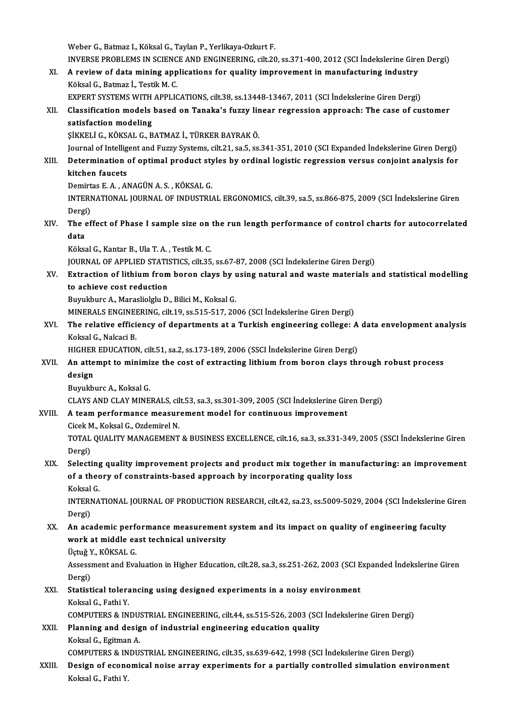Weber G., Batmaz I., Köksal G., Taylan P., Yerlikaya-Ozkurt F. Weber G., Batmaz I., Köksal G., Taylan P., Yerlikaya-Ozkurt F.<br>INVERSE PROBLEMS IN SCIENCE AND ENGINEERING, cilt.20, ss.371-400, 2012 (SCI İndekslerine Giren Dergi)<br>A naviaw of data mining applications for quality improvem Weber G., Batmaz I., Köksal G., Taylan P., Yerlikaya-Ozkurt F.<br>INVERSE PROBLEMS IN SCIENCE AND ENGINEERING, cilt.20, ss.371-400, 2012 (SCI İndekslerine Gire<br>XI. A review of data mining applications for quality improvement INVERSE PROBLEMS IN SCIENC<br>A review of data mining app<br>Köksal G., Batmaz İ., Testik M. C.<br>EYPERT SVSTEMS WITH APPLIC A review of data mining applications for quality improvement in manufacturing industry<br>Köksal G., Batmaz İ., Testik M. C.<br>EXPERT SYSTEMS WITH APPLICATIONS, cilt.38, ss.13448-13467, 2011 (SCI İndekslerine Giren Dergi)<br>Class Köksal G., Batmaz İ., Testik M. C.<br>EXPERT SYSTEMS WITH APPLICATIONS, cilt.38, ss.13448-13467, 2011 (SCI İndekslerine Giren Dergi)<br>XII. Classification models based on Tanaka's fuzzy linear regression approach: The case EXPERT SYSTEMS WITH<br>Classification modeling<br>satisfaction modeling<br>sizzer i.c. vöysal c. P Classification models based on Tanaka's fuzzy lir<br>satisfaction modeling<br>ŞİKKELİ G., KÖKSAL G., BATMAZ İ., TÜRKER BAYRAK Ö.<br>Journal of Intelligent and Eugeu Systems sült 21, 82 E.SS satisfaction modeling<br>ŞİKKELİ G., KÖKSAL G., BATMAZ İ., TÜRKER BAYRAK Ö.<br>Journal of Intelligent and Fuzzy Systems, cilt.21, sa.5, ss.341-351, 2010 (SCI Expanded İndekslerine Giren Dergi)<br>Determination of ontimel product st SIKKELI G., KÖKSAL G., BATMAZ İ., TÜRKER BAYRAK Ö.<br>Journal of Intelligent and Fuzzy Systems, cilt.21, sa.5, ss.341-351, 2010 (SCI Expanded İndekslerine Giren Dergi)<br>XIII. Determination of optimal product styles by ordi **Journal of Intellig<br>Determination<br>kitchen faucets<br>Demirtes E.A. Al** Determination of optimal product sty<br>kitchen faucets<br>Demirtas E. A. , ANAGÜN A. S. , KÖKSAL G.<br>INTERNATIONAL JOURNAL OF INDUSTRI kitchen faucets<br>Demirtas E. A. , ANAGÜN A. S. , KÖKSAL G.<br>INTERNATIONAL JOURNAL OF INDUSTRIAL ERGONOMICS, cilt.39, sa.5, ss.866-875, 2009 (SCI İndekslerine Giren<br>Dergi) Demirtas E.A., ANAGÜN A.S., KÖKSAL G. INTERNATIONAL JOURNAL OF INDUSTRIAL ERGONOMICS, cilt.39, sa.5, ss.866-875, 2009 (SCI İndekslerine Giren<br>Dergi)<br>XIV. The effect of Phase I sample size on the run length performance of control charts for autocorrelated<br>data Dergi<br><mark>The</mark> G<br>data<br>Këlre The effect of Phase I sample size on<br>data<br>Köksal G., Kantar B., Ula T. A. , Testik M. C.<br>JOUPMAL OF APPLIED STATISTICS, silt 25 **data**<br>Köksal G., Kantar B., Ula T. A. , Testik M. C.<br>JOURNAL OF APPLIED STATISTICS, cilt.35, ss.67-87, 2008 (SCI İndekslerine Giren Dergi) Köksal G., Kantar B., Ula T. A. , Testik M. C.<br>JOURNAL OF APPLIED STATISTICS, cilt.35, ss.67-87, 2008 (SCI İndekslerine Giren Dergi)<br>XV. Extraction of lithium from boron clays by using natural and waste materials and s **JOURNAL OF APPLIED STATIS<br>Extraction of lithium from<br>to achieve cost reduction**<br>Burnkhure A. Meraclialalu D Extraction of lithium from boron clays by u<br>to achieve cost reduction<br>Buyukburc A., Marasliolglu D., Bilici M., Koksal G.<br>MINERALS ENCINEERINC silt 19 ss 515 517 20 to achieve cost reduction<br>Buyukburc A., Marasliolglu D., Bilici M., Koksal G.<br>MINERALS ENGINEERING, cilt.19, ss.515-517, 2006 (SCI İndekslerine Giren Dergi) Buyukburc A., Marasliolglu D., Bilici M., Koksal G.<br>MINERALS ENGINEERING, cilt.19, ss.515-517, 2006 (SCI İndekslerine Giren Dergi)<br>XVI. The relative efficiency of departments at a Turkish engineering college: A data en MINERALS ENGINE<br>The relative effici<br>Koksal G., Nalcaci B.<br>HICHED EDUCATION The relative efficiency of departments at a Turkish engineering college: A<br>Koksal G., Nalcaci B.<br>HIGHER EDUCATION, cilt.51, sa.2, ss.173-189, 2006 (SSCI İndekslerine Giren Dergi)<br>An attamnt to minimire the sest of extresti Koksal G., Nalcaci B.<br>HIGHER EDUCATION, cilt.51, sa.2, ss.173-189, 2006 (SSCI İndekslerine Giren Dergi)<br>XVII. An attempt to minimize the cost of extracting lithium from boron clays through robust process HIGHER EDUCATION, cilt.51, sa.2, ss.173-189, 2006 (SSCI Indekslerine Giren Dergi)<br>An attempt to minimize the cost of extracting lithium from boron clays th<br>design<br>Buyukburc A., Koksal G. An attempt to minimi<br>design<br>Buyukburc A., Koksal G.<br>CLAYS AND CLAY MINE design<br>Buyukburc A., Koksal G.<br>CLAYS AND CLAY MINERALS, cilt.53, sa.3, ss.301-309, 2005 (SCI İndekslerine Giren Dergi)<br>A team norformange measurement model for sentinuous impreyement XVIII. A team performance measurement model for continuous improvement<br>Cicek M., Koksal G., Ozdemirel N. CLAYS AND CLAY MINERALS, cil<br>A team performance measur<br>Cicek M., Koksal G., Ozdemirel N.<br>TOTAL OUALITY MANACEMENT A team performance measurement model for continuous improvement<br>Cicek M., Koksal G., Ozdemirel N.<br>TOTAL QUALITY MANAGEMENT & BUSINESS EXCELLENCE, cilt.16, sa.3, ss.331-349, 2005 (SSCI İndekslerine Giren<br>Persi) Cicek M<br>TOTAL<br>Dergi)<br>Selecti TOTAL QUALITY MANAGEMENT & BUSINESS EXCELLENCE, cilt.16, sa.3, ss.331-349, 2005 (SSCI Indekslerine Giren<br>Dergi)<br>XIX. Selecting quality improvement projects and product mix together in manufacturing: an improvement<br>of a the Dergi)<br>Selecting quality improvement projects and product mix together in mar<br>of a theory of constraints-based approach by incorporating quality loss<br>Kekeel C Selecting<br>of a theo<br>Koksal G.<br>INTERNA of a theory of constraints-based approach by incorporating quality loss<br>Koksal G.<br>INTERNATIONAL JOURNAL OF PRODUCTION RESEARCH, cilt.42, sa.23, ss.5009-5029, 2004 (SCI İndekslerine Giren<br>Persi) Koksal<br>INTERI<br>Dergi)<br>An aca INTERNATIONAL JOURNAL OF PRODUCTION RESEARCH, cilt.42, sa.23, ss.5009-5029, 2004 (SCI indekslerine (<br>Dergi)<br>XX. An academic performance measurement system and its impact on quality of engineering faculty<br>work at middle eas Dergi)<br>An academic performance measurement<br>work at middle east technical university<br>Üstvě V. KÖKSAL C An academic perf<br>work at middle ea<br>Üçtuğ Y., KÖKSAL G.<br>Assessment and Eva work at middle east technical university<br>Üçtuğ Y., KÖKSAL G.<br>Assessment and Evaluation in Higher Education, cilt.28, sa.3, ss.251-262, 2003 (SCI Expanded İndekslerine Giren Üçtuğ Y<br>Assessi<br>Dergi)<br>Statist Assessment and Evaluation in Higher Education, cilt.28, sa.3, ss.251-262, 2003 (SCI E<br>Dergi)<br>XXI. Statistical tolerancing using designed experiments in a noisy environment<br>Kakaal C. Fathi Y. Dergi)<br>XXI. Statistical tolerancing using designed experiments in a noisy environment<br>Koksal G., Fathi Y. Statistical tolerancing using designed experiments in a noisy environment<br>Koksal G., Fathi Y.<br>COMPUTERS & INDUSTRIAL ENGINEERING, cilt.44, ss.515-526, 2003 (SCI İndekslerine Giren Dergi)<br>Planning and design of industrial e XXII. Planning and design of industrial engineering education quality<br>Koksal G., Egitman A. COMPUTERS & INDU:<br>Planning and desig<br>Koksal G., Egitman A.<br>COMPUTERS & INDU: COMPUTERS&INDUSTRIAL ENGINEERING, cilt.35, ss.639-642,1998 (SCI İndekslerineGirenDergi) Koksal G., Egitman A.<br>COMPUTERS & INDUSTRIAL ENGINEERING, cilt.35, ss.639-642, 1998 (SCI İndekslerine Giren Dergi)<br>XXIII. Design of economical noise array experiments for a partially controlled simulation environment<br>K COMPUTERS & IN<br>Design of econ<mark>c</mark><br>Koksal G., Fathi Y.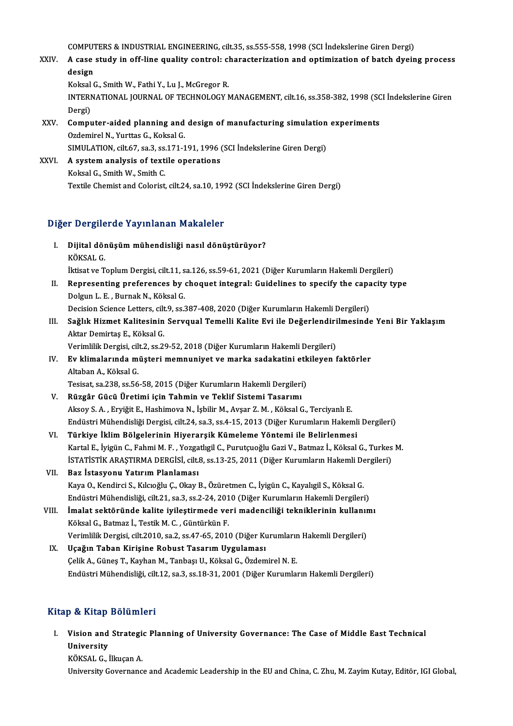COMPUTERS & INDUSTRIAL ENGINEERING, cilt.35, ss.555-558, 1998 (SCI İndekslerine Giren Dergi)<br>A sasa atudu in off line quality sentralı sharastarization and entimization of hatab dygin

COMPUTERS & INDUSTRIAL ENGINEERING, cilt.35, ss.555-558, 1998 (SCI İndekslerine Giren Dergi)<br>XXIV. A case study in off-line quality control: characterization and optimization of batch dyeing process COMPUT<br>A case<br>design<br>Kokaal ( A case study in off-line quality control: cl<br>design<br>Koksal G., Smith W., Fathi Y., Lu J., McGregor R.<br>INTERNATIONAL JOURNAL OF TECHNOLOCY N

Koksal G., Smith W., Fathi Y., Lu J., McGregor R.

design<br>Koksal G., Smith W., Fathi Y., Lu J., McGregor R.<br>INTERNATIONAL JOURNAL OF TECHNOLOGY MANAGEMENT, cilt.16, ss.358-382, 1998 (SCI İndekslerine Giren<br>Dergi) INTERNATIONAL JOURNAL OF TECHNOLOGY MANAGEMENT, cilt.16, ss.358-382, 1998 (SC<br>Dergi)<br>XXV. Computer-aided planning and design of manufacturing simulation experiments<br>Ordemirel N. Vurttes G. Kelsel G.

- Dergi)<br>**Computer-aided planning and<br>Ozdemirel N., Yurttas G., Koksal G.<br>SIMULATION, cilt 67, sp.3, sp.171-1** Computer-aided planning and design of manufacturing simulation<br>Ozdemirel N., Yurttas G., Koksal G.<br>SIMULATION, cilt.67, sa.3, ss.171-191, 1996 (SCI İndekslerine Giren Dergi)<br>A system analysis of taytile anarations Ozdemirel N., Yurttas G., Koksal G.<br>SIMULATION, cilt.67, sa.3, ss.171-191, 1996 (XXVI. A system analysis of textile operations  $V_{\text{O}}$
- SIMULATION, cilt.67, sa.3, ss.<br>A system analysis of text:<br>Koksal G., Smith W., Smith C.<br>Textile Chemist and Colerist Koksal G., Smith W., Smith C.<br>Textile Chemist and Colorist, cilt.24, sa.10, 1992 (SCI İndekslerine Giren Dergi)

## Diğer Dergilerde Yayınlanan Makaleler

- iğer Dergilerde Yayınlanan Makaleler<br>I. Dijital dönüşüm mühendisliği nasıl dönüştürüyor?<br>RÖVSAL C r Dergre<br>Dijital dör<br>KÖKSAL G.<br>Utisat ve T KÖKSAL G.<br>İktisat ve Toplum Dergisi, cilt.11, sa.126, ss.59-61, 2021 (Diğer Kurumların Hakemli Dergileri) KÖKSAL G.<br>İktisat ve Toplum Dergisi, cilt.11, sa.126, ss.59-61, 2021 (Diğer Kurumların Hakemli Dergileri)<br>II. Representing preferences by choquet integral: Guidelines to specify the capacity type<br>Delgun L.E., Burnak N. Kök
- Iktisat ve Toplum Dergisi, cilt.11, s<br>Representing preferences by (<br>Dolgun L. E. , Burnak N., Köksal G.<br>Docision Scionce Letters, cilt 9, ss.? Representing preferences by choquet integral: Guidelines to specify the capa<br>Dolgun L. E. , Burnak N., Köksal G.<br>Decision Science Letters, cilt.9, ss.387-408, 2020 (Diğer Kurumların Hakemli Dergileri)<br>Sağlık Higmet Kalites
- Dolgun L. E. , Burnak N., Köksal G.<br>Decision Science Letters, cilt.9, ss.387-408, 2020 (Diğer Kurumların Hakemli Dergileri)<br>III. Sağlık Hizmet Kalitesinin Servqual Temelli Kalite Evi ile Değerlendirilmesinde Yeni Bir Y Decision Science Letters, cilt<br>Sağlık Hizmet Kalitesinin<br>Aktar Demirtaş E., Köksal G.<br>Verimlilik Dergisi, silt 2, ss 21 Sağlık Hizmet Kalitesinin Servqual Temelli Kalite Evi ile Değerlendiri<br>Aktar Demirtaş E., Köksal G.<br>Verimlilik Dergisi, cilt.2, ss.29-52, 2018 (Diğer Kurumların Hakemli Dergileri)<br>Ev klimalarında müstari mamnuniyat ve mark

Aktar Demirtaş E., Köksal G.<br>Verimlilik Dergisi, cilt.2, ss.29-52, 2018 (Diğer Kurumların Hakemli Dergileri)<br>IV. Ev klimalarında müşteri memnuniyet ve marka sadakatini etkileyen faktörler<br>Altaban A. Köksal G. Verimlilik Dergisi, cil<br><mark>Ev klimalarında m</mark><br>Altaban A., Köksal G.<br>Tesisat sa 228, sa 56 Ev klimalarında müşteri memnuniyet ve marka sadakatini etk<br>Altaban A., Köksal G.<br>Tesisat, sa.238, ss.56-58, 2015 (Diğer Kurumların Hakemli Dergileri)<br>Büzgâr Cüçü Üretimi için Tahmin ve Taklif Sistemi Tasarımı Altaban A., Köksal G.<br>Tesisat, sa.238, ss.56-58, 2015 (Diğer Kurumların Hakemli Dergileri)<br>V. Rüzgâr Gücü Üretimi için Tahmin ve Teklif Sistemi Tasarımı

- Tesisat, sa.238, ss.56-58, 2015 (Diğer Kurumların Hakemli Dergileri)<br>**Rüzgâr Gücü Üretimi için Tahmin ve Teklif Sistemi Tasarımı**<br>Aksoy S. A. , Eryiğit E., Hashimova N., İşbilir M., Avşar Z. M. , Köksal G., Terciyanlı E.<br>E Aksoy S. A. , Eryiğit E., Hashimova N., İşbilir M., Avşar Z. M. , Köksal G., Terciyanlı E.<br>Endüstri Mühendisliği Dergisi, cilt.24, sa.3, ss.4-15, 2013 (Diğer Kurumların Hakeml<br>VI. Türkiye İklim Bölgelerinin Hiyerarşik Küme
- Endüstri Mühendisliği Dergisi, cilt.24, sa.3, ss.4-15, 2013 (Diğer Kurumların Hakemli Dergileri)<br>Türkiye İklim Bölgelerinin Hiyerarşik Kümeleme Yöntemi ile Belirlenmesi KartalE., İyigünC.,FahmiM.F. ,YozgatlıgilC.,PurutçuoğluGaziV.,Batmaz İ.,KöksalG.,TurkesM. Türkiye İklim Bölgelerinin Hiyerarşik Kümeleme Yöntemi ile Belirlenmesi<br>Kartal E., İyigün C., Fahmi M. F. , Yozgatlıgil C., Purutçuoğlu Gazi V., Batmaz İ., Köksal G., Turkes<br>İSTATİSTİK ARAŞTIRMA DERGİSİ, cilt.8, ss.13-25,
- VII. Baz İstasyonu Yatırım Planlaması İSTATİSTİK ARAŞTIRMA DERGİSİ, cilt8, ss.13-25, 2011 (Diğer Kurumların Hakemli De<br>**Baz İstasyonu Yatırım Planlaması**<br>Kaya O., Kendirci S., Kılcıoğlu Ç., Okay B., Özüretmen C., İyigün C., Kayalıgil S., Köksal G.<br>Endüstri Müh Baz İstasyonu Yatırım Planlaması<br>Kaya O., Kendirci S., Kılcıoğlu Ç., Okay B., Özüretmen C., İyigün C., Kayalıgil S., Köksal G.<br>Endüstri Mühendisliği, cilt.21, sa.3, ss.2-24, 2010 (Diğer Kurumların Hakemli Dergileri)<br>İmalat Kaya O., Kendirci S., Kılcıoğlu Ç., Okay B., Özüretmen C., İyigün C., Kayalıgil S., Köksal G.<br>Endüstri Mühendisliği, cilt.21, sa.3, ss.2-24, 2010 (Diğer Kurumların Hakemli Dergileri)<br>VIII. İmalat sektöründe kalite iyileşti
- Endüstri Mühendisliği, cilt.21, sa.3, ss.2-24, 2010 (Diğer Kurumların Hakemli Dergileri)<br>İmalat sektöründe kalite iyileştirmede veri madenciliği tekniklerinin kullanımı<br>Köksal G., Batmaz İ., Testik M. C. , Güntürkün F. İmalat sektöründe kalite iyileştirmede veri madenciliği tekniklerinin kullanır<br>Köksal G., Batmaz İ., Testik M. C. , Güntürkün F.<br>Verimlilik Dergisi, cilt.2010, sa.2, ss.47-65, 2010 (Diğer Kurumların Hakemli Dergileri)<br>Haşğ
- IX. Uçağın Taban Kirişine Robust Tasarım Uygulaması<br>Celik A., Güneş T., Kayhan M., Tanbaşı U., Köksal G., Özdemirel N. E. Verimlilik Dergisi, cilt.2010, sa.2, ss.47-65, 2010 (Diğer Kurumlarır<br>Uçağın Taban Kirişine Robust Tasarım Uygulaması<br>Çelik A., Güneş T., Kayhan M., Tanbaşı U., Köksal G., Özdemirel N. E.<br>Endüstri Mühandisliği, silt 12, ss Endüstri Mühendisliği, cilt.12, sa.3, ss.18-31, 2001 (Diğer Kurumların Hakemli Dergileri)

## Kitap & Kitap Bölümleri

itap & Kitap Bölümleri<br>I. Vision and Strategic Planning of University Governance: The Case of Middle East Technical<br>University Perside<br>Vision and<br>University<br>VÖVSAL C Vision and Strategi<br>University<br>KÖKSAL G., İlkuçan A.<br>University Covernana University<br>KÖKSAL G., İlkuçan A.<br>University Governance and Academic Leadership in the EU and China, C. Zhu, M. Zayim Kutay, Editör, IGI Global,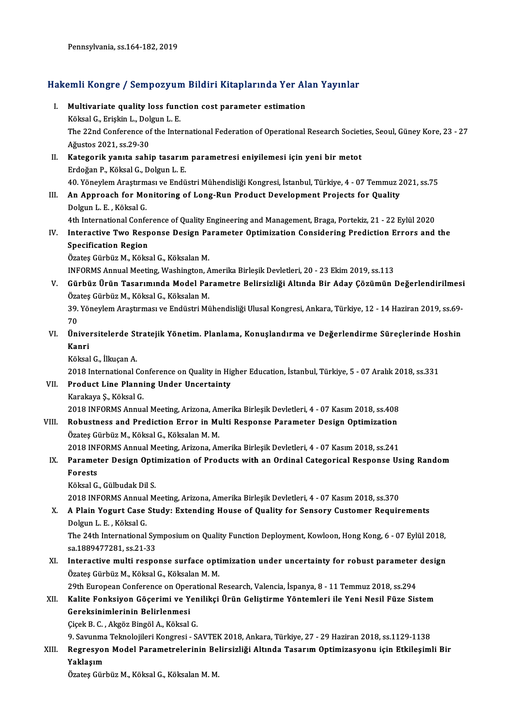Pennsylvania, ss.164-182,2019

# rennsyıvanıa, ss.164-182, 2019<br>Hakemli Kongre / Sempozyum Bildiri Kitaplarında Yer Alan Yayınlar

- akemli Kongre / Sempozyum Bildiri Kitaplarında Yer Al<br>I. Multivariate quality loss function cost parameter estimation<br>Köksel C. Friskin L. Delsun L. E I. Multivariate quality loss function cost parameter estimation Multivariate quality loss function cost parameter estimation<br>Köksal G., Erişkin L., Dolgun L. E.<br>The 22nd Conference of the International Federation of Operational Research Societies, Seoul, Güney Kore, 23 - 27<br>Ağustes 202 Köksal G., Erişkin L., Dolgun L. E.<br>The 22nd Conference of the Inte<br>Ağustos 2021, ss.29-30 The 22nd Conference of the International Federation of Operational Research Societ<br>Ağustos 2021, ss.29-30<br>II. Kategorik yanıta sahip tasarım parametresi eniyilemesi için yeni bir metot<br>Erdoğan B. Köksel G. Dokun J. E
- II. Kategorik yanıta sahip tasarım parametresi eniyilemesi için yeni bir metot<br>Erdoğan P., Köksal G., Dolgun L. E. Kategorik yanıta sahip tasarım parametresi eniyilemesi için yeni bir metot<br>Erdoğan P., Köksal G., Dolgun L. E.<br>40. Yöneylem Araştırması ve Endüstri Mühendisliği Kongresi, İstanbul, Türkiye, 4 - 07 Temmuz 2021, ss.75<br>An Ann
- Erdoğan P., Köksal G., Dolgun L. E.<br>10. Yöneylem Araştırması ve Endüstri Mühendisliği Kongresi, İstanbul, Türkiye, 4 07 Temmuz 2<br>11. An Approach for Monitoring of Long-Run Product Development Projects for Quality<br>20. Rel 40. Yöneylem Araştırm<br>**An Approach for Mo**<br>Dolgun L. E. , Köksal G.<br><sup>4th Intornational Confo</sup> An Approach for Monitoring of Long-Run Product Development Projects for Quality<br>Dolgun L. E. , Köksal G.<br>4th International Conference of Quality Engineering and Management, Braga, Portekiz, 21 - 22 Eylül 2020<br>Internative T

Dolgun L. E. , Köksal G.<br>4th International Conference of Quality Engineering and Management, Braga, Portekiz, 21 - 22 Eylül 2020<br>IV. Interactive Two Response Design Parameter Optimization Considering Prediction Errors 4th International Confer<br>Interactive Two Resp<br>Specification Region<br>Öretes Cürbür M. Költa Interactive Two Response Design Pa<br>Specification Region<br>Özateş Gürbüz M., Köksal G., Köksalan M.<br>INFORMS Annual Meeting Weebington A Specification Region<br>Özateş Gürbüz M., Köksal G., Köksalan M.<br>INFORMS Annual Meeting, Washington, Amerika Birleşik Devletleri, 20 - 23 Ekim 2019, ss.113

Özateş Gürbüz M., Köksal G., Köksalan M.<br>INFORMS Annual Meeting, Washington, Amerika Birleşik Devletleri, 20 - 23 Ekim 2019, ss.113<br>V. Gürbüz Ürün Tasarımında Model Parametre Belirsizliği Altında Bir Aday Çözümün Değer INFORMS Annual Meeting, Washington, A<br>Gürbüz Ürün Tasarımında Model Paı<br>Özateş Gürbüz M., Köksal G., Köksalan M.<br>20 Vänevlem Arastırması ve Endüstri Mi Gürbüz Ürün Tasarımında Model Parametre Belirsizliği Altında Bir Aday Çözümün Değerlendirilmesi<br>Özateş Gürbüz M., Köksal G., Köksalan M.<br>39. Yöneylem Araştırması ve Endüstri Mühendisliği Ulusal Kongresi, Ankara, Türkiye, 1

Özateş Gürbüz M., Köksal G., Köksalan M.<br>39. Yöneylem Araştırması ve Endüstri Mühendisliği Ulusal Kongresi, Ankara, Türkiye, 12 - 14 Haziran 2019, ss.69-<br>70 39. Yöneylem Araştırması ve Endüstri Mühendisliği Ulusal Kongresi, Ankara, Türkiye, 12 - 14 Haziran 2019, ss.69-<br>70<br>VI. Üniversitelerde Stratejik Yönetim. Planlama, Konuşlandırma ve Değerlendirme Süreçlerinde Hoshin<br>Ka

- 70<br>Ünive<br>Kanri<br>Köksel Üniversitelerde St<br>Kanri<br>Köksal G., İlkuçan A.<br>2018 International ( Kanri<br>Köksal G., İlkuçan A.<br>2018 International Conference on Quality in Higher Education, İstanbul, Türkiye, 5 - 07 Aralık 2018, ss.331<br>Predust Line Planning Under Unserteinty
	-

Köksal G., İlkuçan A.<br>2018 International Conference on Quality in Hi<sub>l</sub><br>VII. Product Line Planning Under Uncertainty<br>Karakaya Ş., Köksal G. 2018 International Co<br>Product Line Planni<br>Karakaya Ş., Köksal G.<br>2018 INFOPMS Annus

Product Line Planning Under Uncertainty<br>Karakaya Ş., Köksal G.<br>2018 INFORMS Annual Meeting, Arizona, Amerika Birleşik Devletleri, 4 - 07 Kasım 2018, ss.408<br>Behustness and Prodistion Enner in Multi Besnense Baramatar Desian

Karakaya Ş., Köksal G.<br>2018 INFORMS Annual Meeting, Arizona, Amerika Birleşik Devletleri, 4 - 07 Kasım 2018, ss.408<br>VIII. Robustness and Prediction Error in Multi Response Parameter Design Optimization 2018 INFORMS Annual Meeting, Arizona, An<br>Robustness and Prediction Error in Mu<br>Özateş Gürbüz M., Köksal G., Köksalan M. M.<br>2018 INFORMS Annual Meeting Arizona, An VIII. Robustness and Prediction Error in Multi Response Parameter Design Optimization<br>Özateş Gürbüz M., Köksal G., Köksalan M. M.<br>2018 INFORMS Annual Meeting, Arizona, Amerika Birleşik Devletleri, 4 - 07 Kasım 2018, ss.241

## Özateş Gürbüz M., Köksal G., Köksalan M. M.<br>2018 INFORMS Annual Meeting, Arizona, Amerika Birleşik Devletleri, 4 - 07 Kasım 2018, ss.241<br>IX. Parameter Design Optimization of Products with an Ordinal Categorical Respons 2018 INF<br>Paramet<br>Forests Parameter Design Opti<br>Forests<br>Köksal G., Gülbudak Dil S.<br>2019 INFOPMS Annual M Forests<br>Köksal G., Gülbudak Dil S.<br>2018 INFORMS Annual Meeting, Arizona, Amerika Birleşik Devletleri, 4 - 07 Kasım 2018, ss.370<br>A. Plain Vegurt Case Studyy Extending House of Quality for Sonsory Customer Boguir

Köksal G., Gülbudak Dil S.<br>2018 INFORMS Annual Meeting, Arizona, Amerika Birleşik Devletleri, 4 - 07 Kasım 2018, ss.370<br>X. A Plain Yogurt Case Study: Extending House of Quality for Sensory Customer Requirements<br>Dolgun 2018 INFORMS Annual<br>**A Plain Yogurt Case**<br>Dolgun L. E. , Köksal G.<br>The 24th International A Plain Yogurt Case Study: Extending House of Quality for Sensory Customer Requirements<br>Dolgun L. E. , Köksal G.<br>The 24th International Symposium on Quality Function Deployment, Kowloon, Hong Kong, 6 - 07 Eylül 2018,<br>88.18

Dolgun L. E. , Köksal G.<br>The 24th International Sy:<br>sa.1889477281, ss.21-33<br>Interective multi respe The 24th International Symposium on Quality Function Deployment, Kowloon, Hong Kong, 6 - 07 Eylül 2018,<br>sa.1889477281, ss.21-33<br>XI. Interactive multi response surface optimization under uncertainty for robust parameter des

sa.1889477281, ss.21-33<br>Interactive multi response surface opt<br>Özateş Gürbüz M., Köksal G., Köksalan M. M.<br>20th Euronean Conference en Operational I Interactive multi response surface optimization under uncertainty for robust parameter<br>Özateş Gürbüz M., Köksal G., Köksalan M. M.<br>29th European Conference on Operational Research, Valencia, İspanya, 8 - 11 Temmuz 2018, ss

Özateş Gürbüz M., Köksal G., Köksalan M. M.<br>29th European Conference on Operational Research, Valencia, İspanya, 8 - 11 Temmuz 2018, ss.294<br>XII. Kalite Fonksiyon Göçerimi ve Yenilikçi Ürün Geliştirme Yöntemleri ile Yen 29th European Conference on Oper<br>Kalite Fonksiyon Göçerimi ve Y<br>Gereksinimlerinin Belirlenmesi<br>Gisek B.C., Aksës Binsël A., Këksel Kalite Fonksiyon Göçerimi ve Yen<br>Gereksinimlerinin Belirlenmesi<br>Çiçek B. C. , Akgöz Bingöl A., Köksal G.<br>9. Seyunme Telmelejileri Kongresi - S Gereksinimlerinin Belirlenmesi<br>Çiçek B. C. , Akgöz Bingöl A., Köksal G.<br>9. Savunma Teknolojileri Kongresi - SAVTEK 2018, Ankara, Türkiye, 27 - 29 Haziran 2018, ss.1129-1138

Çiçek B. C. , Akgöz Bingöl A., Köksal G.<br>9. Savunma Teknolojileri Kongresi - SAVTEK 2018, Ankara, Türkiye, 27 - 29 Haziran 2018, ss.1129-1138<br>XIII. Regresyon Model Parametrelerinin Belirsizliği Altında Tasarım Optimiza 9. Savunma<br>Regresyol<br>Yaklaşım Regresyon Model Parametrelerinin Be<br>Yaklaşım<br>Özateş Gürbüz M., Köksal G., Köksalan M. M.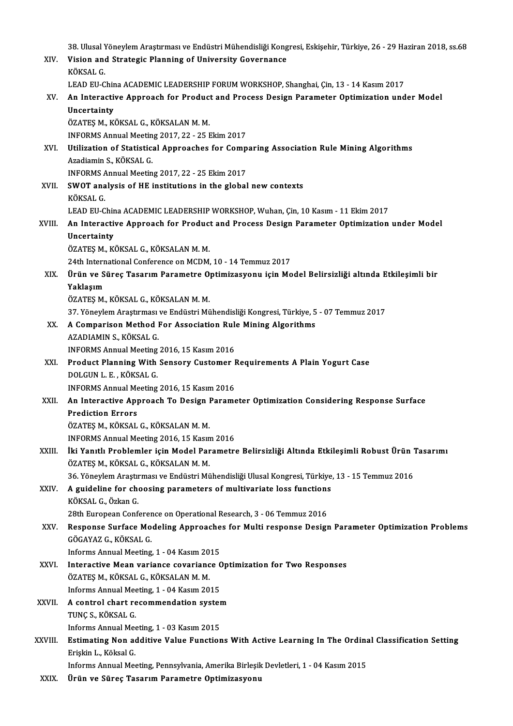38. Ulusal Yöneylem Araştırması ve Endüstri Mühendisliği Kongresi, Eskişehir, Türkiye, 26 - 29 Haziran 2018, ss.68<br>Vision and Strategis Planning of University Governanee

|             | 38. Ulusal Yöneylem Araştırması ve Endüstri Mühendisliği Kongresi, Eskişehir, Türkiye, 26 - 29 Haziran 2018, ss.68                              |
|-------------|-------------------------------------------------------------------------------------------------------------------------------------------------|
| XIV.        | Vision and Strategic Planning of University Governance                                                                                          |
|             | KÖKSAL G                                                                                                                                        |
|             | LEAD EU-China ACADEMIC LEADERSHIP FORUM WORKSHOP, Shanghai, Çin, 13 - 14 Kasım 2017                                                             |
| XV.         | An Interactive Approach for Product and Process Design Parameter Optimization under Model                                                       |
|             | Uncertainty<br>ÖZATEŞ M., KÖKSAL G., KÖKSALAN M. M.                                                                                             |
|             | INFORMS Annual Meeting 2017, 22 - 25 Ekim 2017                                                                                                  |
| XVI.        | Utilization of Statistical Approaches for Comparing Association Rule Mining Algorithms                                                          |
|             | Azadiamin S., KÖKSAL G.                                                                                                                         |
|             | INFORMS Annual Meeting 2017, 22 - 25 Ekim 2017                                                                                                  |
| XVII.       | SWOT analysis of HE institutions in the global new contexts                                                                                     |
|             | KÖKSAL G                                                                                                                                        |
|             | LEAD EU-China ACADEMIC LEADERSHIP WORKSHOP, Wuhan, Çin, 10 Kasım - 11 Ekim 2017                                                                 |
| XVIII.      | An Interactive Approach for Product and Process Design Parameter Optimization under Model                                                       |
|             | Uncertainty                                                                                                                                     |
|             | ÖZATEŞ M., KÖKSAL G., KÖKSALAN M. M.                                                                                                            |
|             | 24th International Conference on MCDM, 10 - 14 Temmuz 2017                                                                                      |
| XIX.        | Ürün ve Süreç Tasarım Parametre Optimizasyonu için Model Belirsizliği altında Etkileşimli bir                                                   |
|             | Yaklaşım                                                                                                                                        |
|             | ÖZATEŞ M., KÖKSAL G., KÖKSALAN M. M.                                                                                                            |
|             | 37. Yöneylem Araştırması ve Endüstri Mühendisliği Kongresi, Türkiye, 5 - 07 Temmuz 2017                                                         |
| XX.         | A Comparison Method For Association Rule Mining Algorithms                                                                                      |
|             | AZADIAMIN S., KÖKSAL G.                                                                                                                         |
|             | INFORMS Annual Meeting 2016, 15 Kasım 2016                                                                                                      |
| XXI.        | Product Planning With Sensory Customer Requirements A Plain Yogurt Case                                                                         |
|             | DOLGUN L. E., KÖKSAL G.                                                                                                                         |
|             | INFORMS Annual Meeting 2016, 15 Kasım 2016                                                                                                      |
| XXII.       | An Interactive Approach To Design Parameter Optimization Considering Response Surface                                                           |
|             | Prediction Errors                                                                                                                               |
|             | ÖZATEŞ M., KÖKSAL G., KÖKSALAN M. M.                                                                                                            |
| XXIII.      | INFORMS Annual Meeting 2016, 15 Kasım 2016<br>İki Yanıtlı Problemler için Model Parametre Belirsizliği Altında Etkileşimli Robust Ürün Tasarımı |
|             | ÖZATEŞ M., KÖKSAL G., KÖKSALAN M. M.                                                                                                            |
|             | 36. Yöneylem Araştırması ve Endüstri Mühendisliği Ulusal Kongresi, Türkiye, 13 - 15 Temmuz 2016                                                 |
| XXIV.       | A guideline for choosing parameters of multivariate loss functions                                                                              |
|             | KÖKSAL G., Özkan G.                                                                                                                             |
|             | 28th European Conference on Operational Research, 3 - 06 Temmuz 2016                                                                            |
| XXV.        | Response Surface Modeling Approaches for Multi response Design Parameter Optimization Problems                                                  |
|             | GÖGAYAZ G., KÖKSAL G.                                                                                                                           |
|             | Informs Annual Meeting, 1 - 04 Kasım 2015                                                                                                       |
| <b>XXVI</b> | Interactive Mean variance covariance Optimization for Two Responses                                                                             |
|             | ÖZATEŞ M., KÖKSAL G., KÖKSALAN M. M.                                                                                                            |
|             | Informs Annual Meeting, 1 - 04 Kasım 2015                                                                                                       |
| XXVII.      | A control chart recommendation system                                                                                                           |
|             | TUNÇ S., KÖKSAL G.                                                                                                                              |
|             | Informs Annual Meeting, 1 - 03 Kasım 2015                                                                                                       |
| XXVIII.     | Estimating Non additive Value Functions With Active Learning In The Ordinal Classification Setting                                              |
|             | Erişkin L., Köksal G.                                                                                                                           |
|             | Informs Annual Meeting, Pennsylvania, Amerika Birleşik Devletleri, 1 - 04 Kasım 2015                                                            |
| <b>VVIV</b> | Unin ya Cinaa Tacanum Danamatra Ontimizaayanu                                                                                                   |

XXIX. Urün ve Süreç Tasarım Parametre Optimizasyonu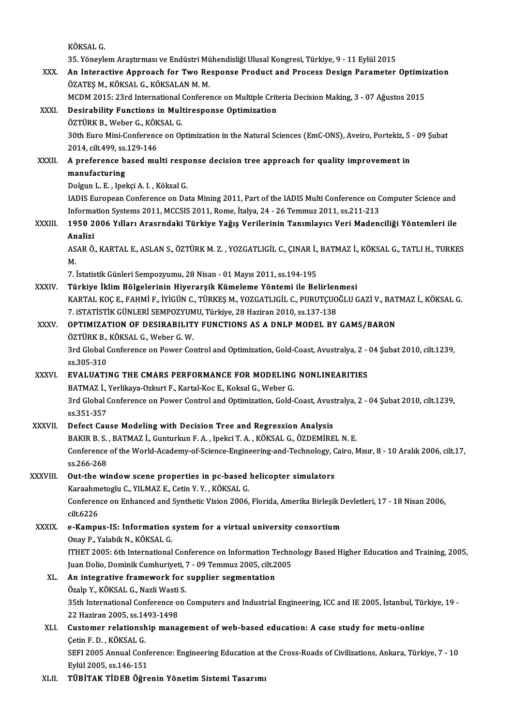KÖKSALG.

35.<br>35. Yöneylem Araştırması ve Endüstri Mühendisliği Ulusal Kongresi, Türkiye, 9 - 11 Eylül 2015<br>An Interactive Annreach fer Twe Besnense Brodust and Presses Design Beremeter

XXX. An Interactive Approach for Two Response Product and Process Design Parameter Optimization<br>ÖZATES M. KÖKSAL G. KÖKSALAN M. M. 35. Yöneylem Araştırması ve Endüstri Mü<br>An Interactive Approach for Two Re<br>ÖZATEŞ M., KÖKSAL G., KÖKSALAN M. M.<br>MCDM 2015: 22rd International Confere An Interactive Approach for Two Response Product and Process Design Parameter Optimiz<br>ÖZATEŞ M., KÖKSAL G., KÖKSALAN M. M.<br>MCDM 2015: 23rd International Conference on Multiple Criteria Decision Making, 3 - 07 Ağustos 2015<br>

## ÖZATEŞ M., KÖKSAL G., KÖKSALAN M. M.<br>MCDM 2015: 23rd International Conference on Multiple Crite<br>XXXI. Desirability Functions in Multiresponse Optimization<br>ÖZTÜPK P. Wober G. KÖKSAL G MCDM 2015: 23rd International<br>Desirability Functions in Mult<br>ÖZTÜRK B., Weber G., KÖKSAL G.<br>20th Euro Mini Conference on Or ÖZTÜRK B., Weber G., KÖKSAL G.

Desirability Functions in Multiresponse Optimization<br>ÖZTÜRK B., Weber G., KÖKSAL G.<br>30th Euro Mini-Conference on Optimization in the Natural Sciences (EmC-ONS), Aveiro, Portekiz, 5 - 09 Şubat<br>2014, cilt,499, ss,129-146 30th Euro Mini-Conference on Optimization in the Natural Sciences (EmC-ONS), Aveiro, Portekiz, 5<br>2014, cilt.499, ss.129-146<br>XXXII. A preference based multi response decision tree approach for quality improvement in<br>manufac

# 2014, cilt.499, ss.<br>A preference b<br>manufacturing A preference based multi resp<br>manufacturing<br>Dolgun L. E. , Ipekçi A. I. , Köksal G.<br>JADIS Euronean Conference en De

manufacturing<br>Dolgun L. E. , Ipekçi A. I. , Köksal G.<br>IADIS European Conference on Data Mining 2011, Part of the IADIS Multi Conference on Computer Science and Dolgun L. E. , Ipekçi A. I. , Köksal G.<br>IADIS European Conference on Data Mining 2011, Part of the IADIS Multi Conference on C<br>Information Systems 2011, MCCSIS 2011, Rome, İtalya, 24 - 26 Temmuz 2011, ss.211-213<br>1950, 2006

## XXXIII. 1950 2006 Yılları Arasrndaki Türkiye Yağış Verilerinin Tanımlayıcı Veri Madenciliği Yöntemleri ile<br>Analizi Informa<br>1950 2<br>Analizi<br>^SAR Ö 1950 2006 Yılları Arasrndaki Türkiye Yağış Verilerinin Tanımlayıcı Veri Madenciliği Yöntemleri ile<br>Analizi<br>ASAR Ö., KARTAL E., ASLAN S., ÖZTÜRK M. Z. , YOZGATLIGİL C., ÇINAR İ., BATMAZ İ., KÖKSAL G., TATLI H., TURKES<br>M

An<br>AS<br>M. ASAR Ö., KARTAL E., ASLAN S., ÖZTÜRK M. Z. , YOZGATLIGİL C., ÇINAR İ.,<br>M.<br>7. İstatistik Günleri Sempozyumu, 28 Nisan - 01 Mayıs 2011, ss.194-195<br>Türkiye İklim Bölgelerinin Hiyerensik Kümeleme Yöntemi ile Bel

M.<br>7. İstatistik Günleri Sempozyumu, 28 Nisan - 01 Mayıs 2011, ss.194-195<br>XXXIV. Türkiye İklim Bölgelerinin Hiyerarşik Kümeleme Yöntemi ile Belirlenmesi<br>KARTAL KOCE, FAHMİ E, İVİÇÜN C, TÜRKES M, YOZCATLIÇİL C, PURUTCUQ 7. İstatistik Günleri Sempozyumu, 28 Nisan - 01 Mayıs 2011, ss.194-195<br>Türkiye İklim Bölgelerinin Hiyerarşik Kümeleme Yöntemi ile Belirlenmesi<br>KARTAL KOÇ E., FAHMİ F., İYİGÜN C., TÜRKEŞ M., YOZGATLIGİL C., PURUTÇUOĞLU GAZİ Türkiye İklim Bölgelerinin Hiyerarşik Kümeleme Yöntemi ile Belirlen<br>KARTAL KOÇ E., FAHMİ F., İYİGÜN C., TÜRKEŞ M., YOZGATLIGİL C., PURUTÇUO<br>7. iSTATİSTİK GÜNLERİ SEMPOZYUMU, Türkiye, 28 Haziran 2010, ss.137-138<br>OPTIMIZATIO KARTAL KOÇ E., FAHMİ F., İYİGÜN C., TÜRKEŞ M., YOZGATLIGİL C., PURUTÇUOĞLU GAZİ V., BAT<br>7. ISTATİSTİK GÜNLERİ SEMPOZYUMU, Türkiye, 28 Haziran 2010, ss.137-138<br>XXXV. OPTIMIZATION OF DESIRABILITY FUNCTIONS AS A DNLP MODE

# 7. ISTATISTIK GÜNLERİ SEMPOZYUM<br>OPTIMIZATION OF DESIRABILIT<br>ÖZTÜRK B., KÖKSAL G., Weber G. W.<br><sup>2rd Clobal Conference on Bouer Co.</sub></sup>

OPTIMIZATION OF DESIRABILITY FUNCTIONS AS A DNLP MODEL BY GAMS/BARON<br>ÖZTÜRK B., KÖKSAL G., Weber G. W.<br>3rd Global Conference on Power Control and Optimization, Gold-Coast, Avustralya, 2 - 04 Şubat 2010, cilt.1239,<br>98.305.3 ÖZTÜRK B., KÖKSAL G., Weber G. W.<br>3rd Global Conference on Power Control and Optimization, Gold-Coast, Avustralya, 2 -<br>ss.305-310<br>EVALUATING THE CMARS PERFORMANCE FOR MODELING NONLINEARITIES 3rd Global Conference on Power Control and Optimization, Gold-Coast, Avustralya, 2 - 04 Şubat 2010, cilt.1239,<br>ss.305-310<br>XXXVI. EVALUATING THE CMARS PERFORMANCE FOR MODELING NONLINEARITIES

BATMAZ İ., Yerlikaya-Ozkurt F., Kartal-Koc E., Koksal G., Weber G.

EVALUATING THE CMARS PERFORMANCE FOR MODELING NONLINEARITIES<br>BATMAZ İ., Yerlikaya-Ozkurt F., Kartal-Koc E., Koksal G., Weber G.<br>3rd Global Conference on Power Control and Optimization, Gold-Coast, Avustralya, 2 - 04 Şubat BATMAZ İ.,<br>3rd Global (<br>ss.351-357<br>Defect Cau 3rd Global Conference on Power Control and Optimization, Gold-Coast, Avus<br>ss.351-357<br>XXXVII. Defect Cause Modeling with Decision Tree and Regression Analysis<br>BAKID B S. BATMAZ L Cunturlap E A. Jucksi T.A. KÖKSAL C ÖZDEMİDE

ss.351-357<br>Defect Cause Modeling with Decision Tree and Regression Analysis<br>BAKIR B. S. , BATMAZ İ., Gunturkun F. A. , Ipekci T. A. , KÖKSAL G., ÖZDEMİREL N. E.<br>Conference of the World Acedemy of Science Engineering and Te Defect Cause Modeling with Decision Tree and Regression Analysis<br>BAKIR B. S. , BATMAZ İ., Gunturkun F. A. , Ipekci T. A. , KÖKSAL G., ÖZDEMİREL N. E.<br>Conference of the World-Academy-of-Science-Engineering-and-Technology, C BAKIR B. S.<br>Conference<br>ss.266-268<br>Out the wi

## Conference of the World-Academy-of-Science-Engineering-and-Technology, C<br>ss.266-268<br>XXXVIII. Out-the window scene properties in pc-based helicopter simulators<br>Forechnotogly C. VII MAZE, Cotin V. V. KÖKSAL C ss.266-268<br>Out-the window scene properties in pc-based helicopter simulators

Out-the window scene properties in pc-based helicopter simulators<br>Karaahmetoglu C., YILMAZ E., Cetin Y. Y. , KÖKSAL G.<br>Conference on Enhanced and Synthetic Vision 2006, Florida, Amerika Birleşik Devletleri, 17 - 18 Nisan 2 Karaahmetoglu C., YILMAZ E., Cetin Y. Y. , KÖKSAL G.<br>Conference on Enhanced and Synthetic Vision 2006,<br>cilt.6226 Conference on Enhanced and Synthetic Vision 2006, Florida, Amerika Birleşik D<br>cilt.6226<br>XXXIX. e-Kampus-IS: Information system for a virtual university consortium<br>Onay B. Yalabik N. KÖKSAL C

## e-Kampus-IS: Information system for a virtual university consortium<br>Onay P., Yalabik N., KÖKSAL G.

e-Kampus-IS: Information system for a virtual university consortium<br>Onay P., Yalabik N., KÖKSAL G.<br>ITHET 2005: 6th International Conference on Information Technology Based Higher Education and Training, 2005,<br>Juan Dolia Do Onay P., Yalabik N., KÖKSAL G.<br>ITHET 2005: 6th International Conference on Information Techn<br>Juan Dolio, Dominik Cumhuriyeti, 7 - 09 Temmuz 2005, cilt.2005<br>An integrative framework for sunnlier segmentation Juan Dolio, Dominik Cumhuriyeti, 7 - 09 Temmuz 2005, cilt 2005

### XL. An integrative framework for supplier segmentation Özalp Y., KÖKSAL G., Nazli Wasti S.

35th International Conference on Computers and Industrial Engineering, ICC and IE 2005, İstanbul, Türkiye, 19 -<br>22 Haziran 2005, ss.1493-1498 35th International Conference on Computers and Industrial Engineering, ICC and IE 2005, İstanbul, Tür<br>22 Haziran 2005, ss.1493-1498<br>XLI. Customer relationship management of web-based education: A case study for metu-online

## 22 Haziran 2005, ss.14<br>**Customer relationsh<br>Cetin F. D., KÖKSAL G.**<br>SEEL 2005 Annual Con Cetin F. D. , KÖKSAL G.<br>SEFI 2005 Annual Conference: Engineering Education at the Cross-Roads of Civilizations, Ankara, Türkiye, 7 - 10

Eylül2005, ss.146-151

## XLII. TÜBİTAK TİDEB Öğrenin Yönetim Sistemi Tasarımı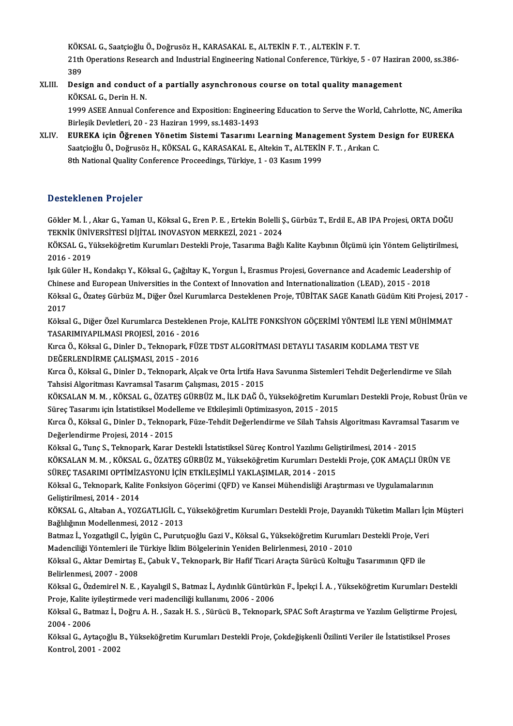KÖKSAL G., Saatçioğlu Ö., Doğrusöz H., KARASAKAL E., ALTEKİN F. T. , ALTEKİN F. T.<br>21th Operations Research and Industrial Engineering National Cenference, Türkiye KÖKSAL G., Saatçioğlu Ö., Doğrusöz H., KARASAKAL E., ALTEKİN F. T. , ALTEKİN F. T.<br>21th Operations Research and Industrial Engineering National Conference, Türkiye, 5 - 07 Haziran 2000, ss.386-KÖK<br>21th<br>389<br>Desi 21th Operations Research and Industrial Engineering National Conference, Türkiye, 5 - 07 Hazira<br>389<br>XLIII. Design and conduct of a partially asynchronous course on total quality management<br>*V*ÖVSAL C. Derin H. N

## 389<br>Design and conduct of a partially asynchronous course on total quality management<br>KÖKSAL G., Derin H. N. Design and conduct of a partially asynchronous course on total quality management<br>KÖKSAL G., Derin H. N.<br>1999 ASEE Annual Conference and Exposition: Engineering Education to Serve the World, Cahrlotte, NC, Amerika<br>Pirlosik

KÖKSAL G., Derin H. N.<br>1999 ASEE Annual Conference and Exposition: Enginee:<br>Birleşik Devletleri, 20 - 23 Haziran 1999, ss.1483-1493<br>FUREKA isin Öğrenen Yönetim Sistemi Tesarımı I 1999 ASEE Annual Conference and Exposition: Engineering Education to Serve the World, Cahrlotte, NC, Amerik<br>Birleşik Devletleri, 20 - 23 Haziran 1999, ss.1483-1493<br>XLIV. EUREKA için Öğrenen Yönetim Sistemi Tasarımı Learnin

Birleşik Devletleri, 20 - 23 Haziran 1999, ss.1483-1493<br>EUREKA için Öğrenen Yönetim Sistemi Tasarımı Learning Management System I<br>Saatçioğlu Ö., Doğrusöz H., KÖKSAL G., KARASAKAL E., Altekin T., ALTEKİN F. T. , Arıkan C.<br><sup></sup> EUREKA için Öğrenen Yönetim Sistemi Tasarımı Learning Manage<br>Saatçioğlu Ö., Doğrusöz H., KÖKSAL G., KARASAKAL E., Altekin T., ALTEKİN<br>8th National Quality Conference Proceedings, Türkiye, 1 - 03 Kasım 1999 8th National Quality Conference Proceedings, Türkiye, 1 - 03 Kasım 1999<br>Desteklenen Projeler

Desteklenen Projeler<br>Gökler M. İ. , Akar G., Yaman U., Köksal G., Eren P. E. , Ertekin Bolelli Ş., Gürbüz T., Erdil E., AB IPA Projesi, ORTA DOĞU<br>TEKNİK ÜNİVERSİTESİ DİJİTAL INOVASYON MERKEZİ 2021, 2024 D'OSCENCH'EN I 195001<br>Gökler M. İ. , Akar G., Yaman U., Köksal G., Eren P. E. , Ertekin Bolelli Ş<br>TEKNİK ÜNİVERSİTESİ DİJİTAL INOVASYON MERKEZİ, 2021 - 2024<br>KÖKSAL G. Yükseköğretim Kurumları Destekli Preja, Teserime Beğlı Gökler M. İ. , Akar G., Yaman U., Köksal G., Eren P. E. , Ertekin Bolelli Ş., Gürbüz T., Erdil E., AB IPA Projesi, ORTA DOĞU<br>TEKNİK ÜNİVERSİTESİ DİJİTAL INOVASYON MERKEZİ, 2021 - 2024<br>KÖKSAL G., Yükseköğretim Kurumları Des

TEKNİK ÜNİV<br>KÖKSAL G., Y<br>2016 - 2019<br>Jak Güler H KÖKSAL G., Yükseköğretim Kurumları Destekli Proje, Tasarıma Bağlı Kalite Kaybının Ölçümü için Yöntem Geliştirilme<br>2016 - 2019<br>Işık Güler H., Kondakçı Y., Köksal G., Çağıltay K., Yorgun İ., Erasmus Projesi, Governance and A

2016 - 2019<br>Işık Güler H., Kondakçı Y., Köksal G., Çağıltay K., Yorgun İ., Erasmus Projesi, Governance and Academic Leadership of<br>Chinese and European Universities in the Context of Innovation and Internationalization (LEA Işık Güler H., Kondakçı Y., Köksal G., Çağıltay K., Yorgun İ., Erasmus Projesi, Governance and Academic Leadership of<br>Chinese and European Universities in the Context of Innovation and Internationalization (LEAD), 2015 - 2

Chines<br>Köksa<br>2017<br>Köksa Köksal G., Özateş Gürbüz M., Diğer Özel Kurumlarca Desteklenen Proje, TÜBİTAK SAGE Kanatlı Güdüm Kiti Projesi, 20<br>2017<br>Köksal G., Diğer Özel Kurumlarca Desteklenen Proje, KALİTE FONKSİYON GÖÇERİMİ YÖNTEMİ İLE YENİ MÜHİMMAT

2017<br>Köksal G., Diğer Özel Kurumlarca Desteklenen Proje, KALİTE FONKSİYON GÖÇERİMİ YÖNTEMİ İLE YENİ MÜHİMMAT<br>TASARIMIYAPILMASI PROJESİ, 2016 - 2016 Köksal G., Diğer Özel Kurumlarca Desteklenen Proje, KALİTE FONKSİYON GÖÇERİMİ YÖNTEMİ İLE YENİ MÜ<br>TASARIMIYAPILMASI PROJESİ, 2016 - 2016<br>Kırca Ö., Köksal G., Dinler D., Teknopark, FÜZE TDST ALGORİTMASI DETAYLI TASARIM KODL

TASARIMIYAPILMASI PROJESİ, 2016 - 2016<br>Kırca Ö., Köksal G., Dinler D., Teknopark, FÜZ<br>DEĞERLENDİRME ÇALIŞMASI, 2015 - 2016<br>Kırca Ö. Köksal G. Dinler D. Teknopark, Ala Kırca Ö., Köksal G., Dinler D., Teknopark, FÜZE TDST ALGORİTMASI DETAYLI TASARIM KODLAMA TEST VE<br>DEĞERLENDİRME ÇALIŞMASI, 2015 - 2016<br>Kırca Ö., Köksal G., Dinler D., Teknopark, Alçak ve Orta İrtifa Hava Savunma Sistemleri

DEĞERLENDİRME ÇALIŞMASI, 2015 - 2016<br>Kırca Ö., Köksal G., Dinler D., Teknopark, Alçak ve Orta İrtifa Ha<br>Tahsisi Algoritması Kavramsal Tasarım Çalışması, 2015 - 2015<br>KÖKSALAN M.M., KÖKSAL G., ÖZATES GÜPPÜZ M. İLK DAĞ Ö Kırca Ö., Köksal G., Dinler D., Teknopark, Alçak ve Orta İrtifa Hava Savunma Sistemleri Tehdit Değerlendirme ve Silah<br>Tahsisi Algoritması Kavramsal Tasarım Çalışması, 2015 - 2015<br>KÖKSALAN M. M. , KÖKSAL G., ÖZATEŞ GÜRBÜZ M

Tahsisi Algoritması Kavramsal Tasarım Çalışması, 2015 - 2015<br>KÖKSALAN M. M. , KÖKSAL G., ÖZATEŞ GÜRBÜZ M., İLK DAĞ Ö., Yükseköğretim Kuru<br>Süreç Tasarımı için İstatistiksel Modelleme ve Etkileşimli Optimizasyon, 2015 - 2015

KÖKSALAN M. M. , KÖKSAL G., ÖZATEŞ GÜRBÜZ M., İLK DAĞ Ö., Yükseköğretim Kurumları Destekli Proje, Robust Ürün ve<br>Süreç Tasarımı için İstatistiksel Modelleme ve Etkileşimli Optimizasyon, 2015 - 2015<br>Kırca Ö., Köksal G., Din Süreç Tasarımı için İstatistiksel Mode<br>Kırca Ö., Köksal G., Dinler D., Teknopa<br>Değerlendirme Projesi, 2014 - 2015<br>Köksel G. Tune S. Teknoparkı Karar Kırca Ö., Köksal G., Dinler D., Teknopark, Füze-Tehdit Değerlendirme ve Silah Tahsis Algoritması Kavramsal Tasarım ve<br>Değerlendirme Projesi, 2014 - 2015<br>Köksal G., Tunç S., Teknopark, Karar Destekli İstatistiksel Süreç Kon

KÖKSALAN M. M., KÖKSAL G., ÖZATEŞ GÜRBÜZ M., Yükseköğretim Kurumları Destekli Proje, ÇOK AMAÇLI ÜRÜN VE Köksal G., Tunç S., Teknopark, Karar Destekli İstatistiksel Süreç Kontrol Yazılımı Geli<br>KÖKSALAN M. M. , KÖKSAL G., ÖZATEŞ GÜRBÜZ M., Yükseköğretim Kurumları Deste<br>SÜREÇ TASARIMI OPTİMİZASYONU İÇİN ETKİLEŞİMLİ YAKLAŞIMLAR,

Köksal G., Teknopark, Kalite Fonksiyon Göçerimi (QFD) ve Kansei Mühendisliği Araştırması ve Uygulamalarının<br>Geliştirilmesi, 2014 - 2014 SÜREÇ TASARIMI OPTİMİZ,<br>Köksal G., Teknopark, Kalite<br>Geliştirilmesi, 2014 - 2014<br>KÖKSAL G. Altaban A. XOZ Köksal G., Teknopark, Kalite Fonksiyon Göçerimi (QFD) ve Kansei Mühendisliği Araştırması ve Uygulamalarının<br>Geliştirilmesi, 2014 - 2014<br>KÖKSAL G., Altaban A., YOZGATLIGİL C., Yükseköğretim Kurumları Destekli Proje, Dayanık

Bağlılığının Modellenmesi, 2012 - 2013 KÖKSAL G., Altaban A., YOZGATLIGİL C., Yükseköğretim Kurumları Destekli Proje, Dayanıklı Tüketim Malları İçi<br>Bağlılığının Modellenmesi, 2012 - 2013<br>Batmaz İ., Yozgatlıgil C., İyigün C., Purutçuoğlu Gazi V., Köksal G., Yüks

Bağlılığının Modellenmesi, 2012 - 2013<br>Batmaz İ., Yozgatlıgil C., İyigün C., Purutçuoğlu Gazi V., Köksal G., Yükseköğretim Kurumla<br>Madenciliği Yöntemleri ile Türkiye İklim Bölgelerinin Yeniden Belirlenmesi, 2010 - 2010<br>Kök Batmaz İ., Yozgatlıgil C., İyigün C., Purutçuoğlu Gazi V., Köksal G., Yükseköğretim Kurumları Destekli Proje, Veri<br>Madenciliği Yöntemleri ile Türkiye İklim Bölgelerinin Yeniden Belirlenmesi, 2010 - 2010<br>Köksal G., Aktar De

Madenciliği Yöntemleri ile Türkiye İklim Bölgelerinin Yeniden Belirlenmesi, 2010 - 2010<br>Köksal G., Aktar Demirtaş E., Çabuk V., Teknopark, Bir Hafif Ticari Araçta Sürücü Koltuğu Tasarımının QFD ile<br>Belirlenmesi, 2007 - 200 Köksal G., Aktar Demirtaş E., Çabuk V., Teknopark, Bir Hafif Ticari Araçta Sürücü Koltuğu Tasarımının QFD ile<br>Belirlenmesi, 2007 - 2008<br>Köksal G., Özdemirel N. E. , Kayalıgil S., Batmaz İ., Aydınlık Güntürkün F., İpekçi İ.

Belirlenmesi, 2007 - 2008<br>Köksal G., Özdemirel N. E. , Kayalıgil S., Batmaz İ., Aydınlık Güntürk<br>Proje, Kalite iyileştirmede veri madenciliği kullanımı, 2006 - 2006<br>Köksel G., Batmaz İ., Doğuy A. H., Sazek H. S., Sürücü B. Köksal G., Özdemirel N. E. , Kayalıgil S., Batmaz İ., Aydınlık Güntürkün F., İpekçi İ. A. , Yükseköğretim Kurumları Destekli<br>Proje, Kalite iyileştirmede veri madenciliği kullanımı, 2006 - 2006<br>Köksal G., Batmaz İ., Doğru A

Proje, Kalite iyileştirmede veri madenciliği kullanımı, 2006 - 2006<br>Köksal G., Batmaz İ., Doğru A. H. , Sazak H. S. , Sürücü B., Teknopar<br>2004 - 2006 Köksal G., Batmaz İ., Doğru A. H. , Sazak H. S. , Sürücü B., Teknopark, SPAC Soft Araştırma ve Yazılım Geliştirme Projesi,<br>2004 - 2006<br>Köksal G., Aytaçoğlu B., Yükseköğretim Kurumları Destekli Proje, Çokdeğişkenli Özilinti

Köksal G., Aytaçoğlu B., Yükseköğretim Kurumları Destekli Proje, Çokdeğişkenli Özilinti Veriler ile İstatistiksel Proses